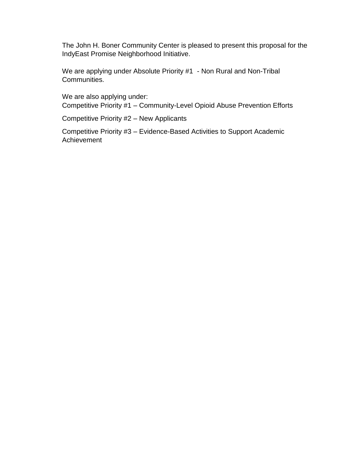The John H. Boner Community Center is pleased to present this proposal for the IndyEast Promise Neighborhood Initiative.

We are applying under Absolute Priority #1 - Non Rural and Non-Tribal Communities.

We are also applying under: Competitive Priority #1 – Community-Level Opioid Abuse Prevention Efforts

Competitive Priority #2 – New Applicants

Competitive Priority #3 – Evidence-Based Activities to Support Academic Achievement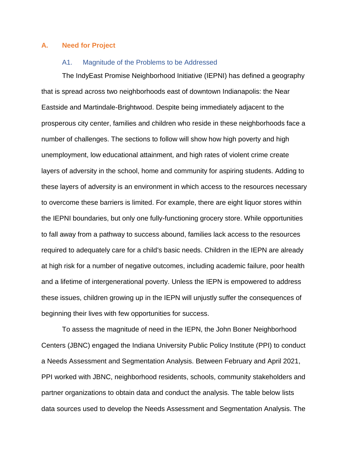#### **A. Need for Project**

#### A1. Magnitude of the Problems to be Addressed

The IndyEast Promise Neighborhood Initiative (IEPNI) has defined a geography that is spread across two neighborhoods east of downtown Indianapolis: the Near Eastside and Martindale-Brightwood. Despite being immediately adjacent to the prosperous city center, families and children who reside in these neighborhoods face a number of challenges. The sections to follow will show how high poverty and high unemployment, low educational attainment, and high rates of violent crime create layers of adversity in the school, home and community for aspiring students. Adding to these layers of adversity is an environment in which access to the resources necessary to overcome these barriers is limited. For example, there are eight liquor stores within the IEPNI boundaries, but only one fully-functioning grocery store. While opportunities to fall away from a pathway to success abound, families lack access to the resources required to adequately care for a child's basic needs. Children in the IEPN are already at high risk for a number of negative outcomes, including academic failure, poor health and a lifetime of intergenerational poverty. Unless the IEPN is empowered to address these issues, children growing up in the IEPN will unjustly suffer the consequences of beginning their lives with few opportunities for success.

To assess the magnitude of need in the IEPN, the John Boner Neighborhood Centers (JBNC) engaged the Indiana University Public Policy Institute (PPI) to conduct a Needs Assessment and Segmentation Analysis. Between February and April 2021, PPI worked with JBNC, neighborhood residents, schools, community stakeholders and partner organizations to obtain data and conduct the analysis. The table below lists data sources used to develop the Needs Assessment and Segmentation Analysis. The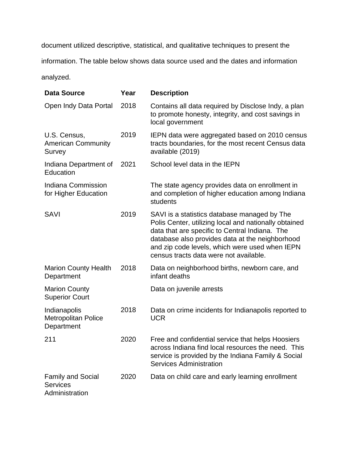document utilized descriptive, statistical, and qualitative techniques to present the information. The table below shows data source used and the dates and information

analyzed.

| <b>Data Source</b>                                            | Year | <b>Description</b>                                                                                                                                                                                                                                                                                     |
|---------------------------------------------------------------|------|--------------------------------------------------------------------------------------------------------------------------------------------------------------------------------------------------------------------------------------------------------------------------------------------------------|
| Open Indy Data Portal                                         | 2018 | Contains all data required by Disclose Indy, a plan<br>to promote honesty, integrity, and cost savings in<br>local government                                                                                                                                                                          |
| U.S. Census,<br><b>American Community</b><br>Survey           | 2019 | IEPN data were aggregated based on 2010 census<br>tracts boundaries, for the most recent Census data<br>available (2019)                                                                                                                                                                               |
| Indiana Department of<br>Education                            | 2021 | School level data in the IEPN                                                                                                                                                                                                                                                                          |
| Indiana Commission<br>for Higher Education                    |      | The state agency provides data on enrollment in<br>and completion of higher education among Indiana<br>students                                                                                                                                                                                        |
| <b>SAVI</b>                                                   | 2019 | SAVI is a statistics database managed by The<br>Polis Center, utilizing local and nationally obtained<br>data that are specific to Central Indiana. The<br>database also provides data at the neighborhood<br>and zip code levels, which were used when IEPN<br>census tracts data were not available. |
| <b>Marion County Health</b><br>Department                     | 2018 | Data on neighborhood births, newborn care, and<br>infant deaths                                                                                                                                                                                                                                        |
| <b>Marion County</b><br><b>Superior Court</b>                 |      | Data on juvenile arrests                                                                                                                                                                                                                                                                               |
| Indianapolis<br><b>Metropolitan Police</b><br>Department      | 2018 | Data on crime incidents for Indianapolis reported to<br><b>UCR</b>                                                                                                                                                                                                                                     |
| 211                                                           | 2020 | Free and confidential service that helps Hoosiers<br>across Indiana find local resources the need. This<br>service is provided by the Indiana Family & Social<br><b>Services Administration</b>                                                                                                        |
| <b>Family and Social</b><br><b>Services</b><br>Administration | 2020 | Data on child care and early learning enrollment                                                                                                                                                                                                                                                       |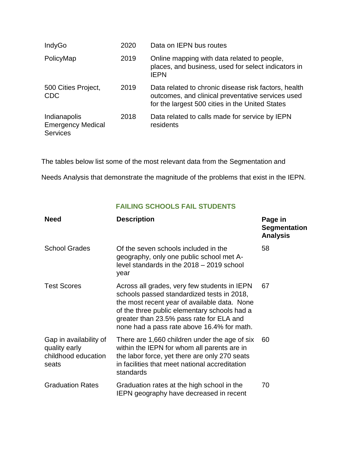| IndyGo                                                      | 2020 | Data on IEPN bus routes                                                                                                                                      |
|-------------------------------------------------------------|------|--------------------------------------------------------------------------------------------------------------------------------------------------------------|
| PolicyMap                                                   | 2019 | Online mapping with data related to people,<br>places, and business, used for select indicators in<br><b>IEPN</b>                                            |
| 500 Cities Project,<br><b>CDC</b>                           | 2019 | Data related to chronic disease risk factors, health<br>outcomes, and clinical preventative services used<br>for the largest 500 cities in the United States |
| Indianapolis<br><b>Emergency Medical</b><br><b>Services</b> | 2018 | Data related to calls made for service by IEPN<br>residents                                                                                                  |

The tables below list some of the most relevant data from the Segmentation and

Needs Analysis that demonstrate the magnitude of the problems that exist in the IEPN.

# **FAILING SCHOOLS FAIL STUDENTS**

| <b>Need</b>                                                             | <b>Description</b>                                                                                                                                                                                                                                                                   | Page in<br><b>Segmentation</b><br><b>Analysis</b> |
|-------------------------------------------------------------------------|--------------------------------------------------------------------------------------------------------------------------------------------------------------------------------------------------------------------------------------------------------------------------------------|---------------------------------------------------|
| <b>School Grades</b>                                                    | Of the seven schools included in the<br>geography, only one public school met A-<br>level standards in the 2018 - 2019 school<br>year                                                                                                                                                | 58                                                |
| <b>Test Scores</b>                                                      | Across all grades, very few students in IEPN<br>schools passed standardized tests in 2018,<br>the most recent year of available data. None<br>of the three public elementary schools had a<br>greater than 23.5% pass rate for ELA and<br>none had a pass rate above 16.4% for math. | 67                                                |
| Gap in availability of<br>quality early<br>childhood education<br>seats | There are 1,660 children under the age of six<br>within the IEPN for whom all parents are in<br>the labor force, yet there are only 270 seats<br>in facilities that meet national accreditation<br>standards                                                                         | 60                                                |
| <b>Graduation Rates</b>                                                 | Graduation rates at the high school in the<br><b>IEPN geography have decreased in recent</b>                                                                                                                                                                                         | 70                                                |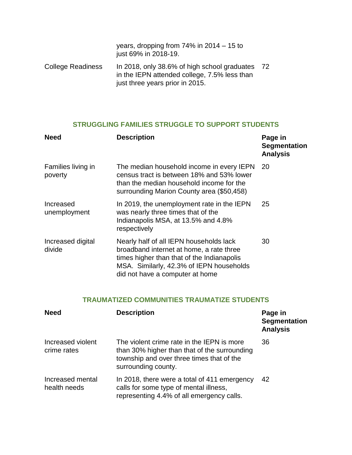|                          | years, dropping from $74\%$ in $2014 - 15$ to<br>just 69% in 2018-19.                                                           |      |
|--------------------------|---------------------------------------------------------------------------------------------------------------------------------|------|
| <b>College Readiness</b> | In 2018, only 38.6% of high school graduates<br>in the IEPN attended college, 7.5% less than<br>just three years prior in 2015. | - 72 |

# **STRUGGLING FAMILIES STRUGGLE TO SUPPORT STUDENTS**

| <b>Need</b>                   | <b>Description</b>                                                                                                                                                                                               | Page in<br><b>Segmentation</b><br><b>Analysis</b> |
|-------------------------------|------------------------------------------------------------------------------------------------------------------------------------------------------------------------------------------------------------------|---------------------------------------------------|
| Families living in<br>poverty | The median household income in every IEPN<br>census tract is between 18% and 53% lower<br>than the median household income for the<br>surrounding Marion County area (\$50,458)                                  | 20                                                |
| Increased<br>unemployment     | In 2019, the unemployment rate in the IEPN<br>was nearly three times that of the<br>Indianapolis MSA, at 13.5% and 4.8%<br>respectively                                                                          | 25                                                |
| Increased digital<br>divide   | Nearly half of all IEPN households lack<br>broadband internet at home, a rate three<br>times higher than that of the Indianapolis<br>MSA. Similarly, 42.3% of IEPN households<br>did not have a computer at home | 30                                                |

# **TRAUMATIZED COMMUNITIES TRAUMATIZE STUDENTS**

| <b>Need</b>                      | <b>Description</b>                                                                                                                                             | Page in<br>Segmentation<br><b>Analysis</b> |
|----------------------------------|----------------------------------------------------------------------------------------------------------------------------------------------------------------|--------------------------------------------|
| Increased violent<br>crime rates | The violent crime rate in the IEPN is more<br>than 30% higher than that of the surrounding<br>township and over three times that of the<br>surrounding county. | 36                                         |
| Increased mental<br>health needs | In 2018, there were a total of 411 emergency<br>calls for some type of mental illness,<br>representing 4.4% of all emergency calls.                            | 42                                         |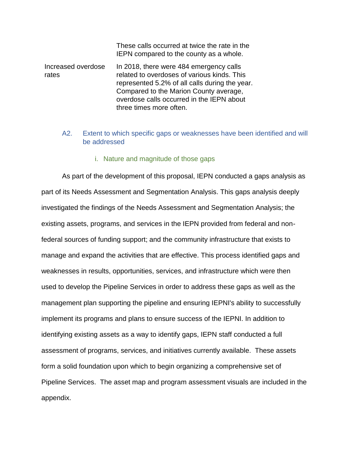|                             | These calls occurred at twice the rate in the<br>IEPN compared to the county as a whole.                                                                                                                                                                   |
|-----------------------------|------------------------------------------------------------------------------------------------------------------------------------------------------------------------------------------------------------------------------------------------------------|
| Increased overdose<br>rates | In 2018, there were 484 emergency calls<br>related to overdoses of various kinds. This<br>represented 5.2% of all calls during the year.<br>Compared to the Marion County average,<br>overdose calls occurred in the IEPN about<br>three times more often. |

#### A2. Extent to which specific gaps or weaknesses have been identified and will be addressed

#### i. Nature and magnitude of those gaps

As part of the development of this proposal, IEPN conducted a gaps analysis as part of its Needs Assessment and Segmentation Analysis. This gaps analysis deeply investigated the findings of the Needs Assessment and Segmentation Analysis; the existing assets, programs, and services in the IEPN provided from federal and nonfederal sources of funding support; and the community infrastructure that exists to manage and expand the activities that are effective. This process identified gaps and weaknesses in results, opportunities, services, and infrastructure which were then used to develop the Pipeline Services in order to address these gaps as well as the management plan supporting the pipeline and ensuring IEPNI's ability to successfully implement its programs and plans to ensure success of the IEPNI. In addition to identifying existing assets as a way to identify gaps, IEPN staff conducted a full assessment of programs, services, and initiatives currently available. These assets form a solid foundation upon which to begin organizing a comprehensive set of Pipeline Services. The asset map and program assessment visuals are included in the appendix.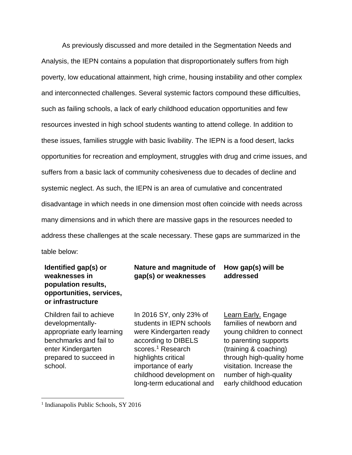As previously discussed and more detailed in the Segmentation Needs and Analysis, the IEPN contains a population that disproportionately suffers from high poverty, low educational attainment, high crime, housing instability and other complex and interconnected challenges. Several systemic factors compound these difficulties, such as failing schools, a lack of early childhood education opportunities and few resources invested in high school students wanting to attend college. In addition to these issues, families struggle with basic livability. The IEPN is a food desert, lacks opportunities for recreation and employment, struggles with drug and crime issues, and suffers from a basic lack of community cohesiveness due to decades of decline and systemic neglect. As such, the IEPN is an area of cumulative and concentrated disadvantage in which needs in one dimension most often coincide with needs across many dimensions and in which there are massive gaps in the resources needed to address these challenges at the scale necessary. These gaps are summarized in the table below:

# **Identified gap(s) or weaknesses in population results, opportunities, services, or infrastructure**

Children fail to achieve developmentallyappropriate early learning benchmarks and fail to enter Kindergarten prepared to succeed in school.

In 2016 SY, only 23% of students in IEPN schools were Kindergarten ready according to DIBELS scores.<sup>1</sup> Research highlights critical importance of early childhood development on long-term educational and

**Nature and magnitude of gap(s) or weaknesses**

> Learn Early. Engage families of newborn and young children to connect to parenting supports (training & coaching) through high-quality home visitation. Increase the number of high-quality early childhood education

**How gap(s) will be** 

**addressed**

 $\overline{a}$ 

<sup>&</sup>lt;sup>1</sup> Indianapolis Public Schools, SY 2016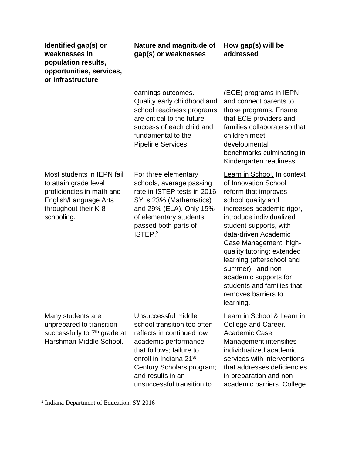| Identified gap(s) or     |
|--------------------------|
| weaknesses in            |
| population results,      |
| opportunities, services, |
| or infrastructure        |

# **Nature and magnitude of gap(s) or weaknesses**

**How gap(s) will be addressed**

earnings outcomes. Quality early childhood and school readiness programs are critical to the future success of each child and fundamental to the Pipeline Services.

Most students in IEPN fail to attain grade level proficiencies in math and English/Language Arts throughout their K-8 schooling.

For three elementary schools, average passing rate in ISTEP tests in 2016 SY is 23% (Mathematics) and 29% (ELA). Only 15% of elementary students passed both parts of ISTEP.<sup>2</sup>

(ECE) programs in IEPN and connect parents to those programs. Ensure that ECE providers and families collaborate so that children meet developmental benchmarks culminating in Kindergarten readiness.

Learn in School. In context of Innovation School reform that improves school quality and increases academic rigor, introduce individualized student supports, with data-driven Academic Case Management; highquality tutoring; extended learning (afterschool and summer); and nonacademic supports for students and families that removes barriers to learning.

Many students are unprepared to transition successfully to 7<sup>th</sup> grade at Harshman Middle School.

 $\overline{a}$ 

Unsuccessful middle school transition too often reflects in continued low academic performance that follows; failure to enroll in Indiana 21st Century Scholars program; and results in an unsuccessful transition to

# Learn in School & Learn in College and Career. Academic Case Management intensifies individualized academic services with interventions that addresses deficiencies

in preparation and nonacademic barriers. College

<sup>2</sup> Indiana Department of Education, SY 2016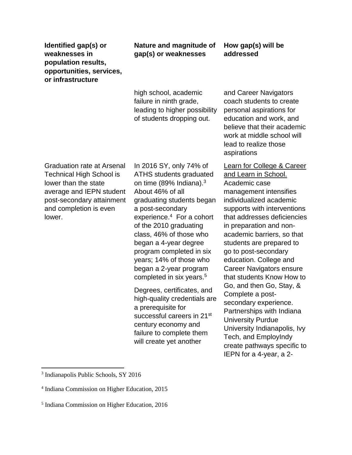# **Nature and magnitude of gap(s) or weaknesses**

# **How gap(s) will be addressed**

high school, academic failure in ninth grade, leading to higher possibility of students dropping out. Graduation rate at Arsenal Technical High School is lower than the state average and IEPN student post-secondary attainment and completion is even lower. In 2016 SY, only 74% of ATHS students graduated on time (89% Indiana).<sup>3</sup> About 46% of all graduating students began a post-secondary experience.<sup>4</sup> For a cohort of the 2010 graduating class, 46% of those who began a 4-year degree program completed in six years; 14% of those who began a 2-year program completed in six years.<sup>5</sup> Degrees, certificates, and

high-quality credentials are a prerequisite for successful careers in 21st century economy and failure to complete them will create yet another

and Career Navigators coach students to create personal aspirations for education and work, and believe that their academic work at middle school will lead to realize those aspirations

Learn for College & Career and Learn in School. Academic case management intensifies individualized academic supports with interventions that addresses deficiencies in preparation and nonacademic barriers, so that students are prepared to go to post-secondary education. College and Career Navigators ensure that students Know How to Go, and then Go, Stay, & Complete a postsecondary experience. Partnerships with Indiana University Purdue University Indianapolis, Ivy Tech, and EmployIndy create pathways specific to IEPN for a 4-year, a 2-

 $\overline{\phantom{a}}$ 

<sup>3</sup> Indianapolis Public Schools, SY 2016

<sup>4</sup> Indiana Commission on Higher Education, 2015

<sup>5</sup> Indiana Commission on Higher Education, 2016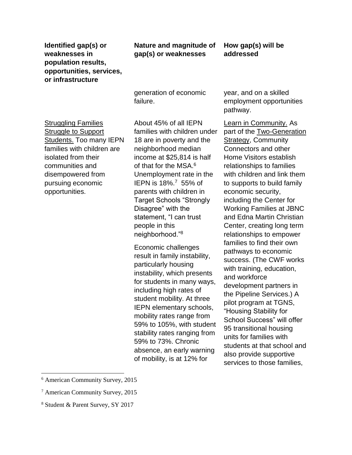# **Nature and magnitude of gap(s) or weaknesses**

**How gap(s) will be addressed**

generation of economic failure.

**Struggling Families Struggle to Support** Students. Too many IEPN families with children are isolated from their communities and disempowered from pursuing economic opportunities.

About 45% of all IEPN families with children under 18 are in poverty and the neighborhood median income at \$25,814 is half of that for the MSA.<sup>6</sup> Unemployment rate in the IEPN is 18%.<sup>7</sup> 55% of parents with children in Target Schools "Strongly Disagree" with the statement, "I can trust people in this neighborhood."<sup>8</sup>

Economic challenges result in family instability, particularly housing instability, which presents for students in many ways, including high rates of student mobility. At three IEPN elementary schools, mobility rates range from 59% to 105%, with student stability rates ranging from 59% to 73%. Chronic absence, an early warning of mobility, is at 12% for

year, and on a skilled employment opportunities pathway.

Learn in Community. As part of the Two-Generation Strategy, Community Connectors and other Home Visitors establish relationships to families with children and link them to supports to build family economic security, including the Center for Working Families at JBNC and Edna Martin Christian Center, creating long term relationships to empower families to find their own pathways to economic success. (The CWF works with training, education, and workforce development partners in the Pipeline Services.) A pilot program at TGNS, "Housing Stability for School Success" will offer 95 transitional housing units for families with students at that school and also provide supportive services to those families,

 $\overline{\phantom{a}}$ 

<sup>6</sup> American Community Survey, 2015

<sup>7</sup> American Community Survey, 2015

<sup>8</sup> Student & Parent Survey, SY 2017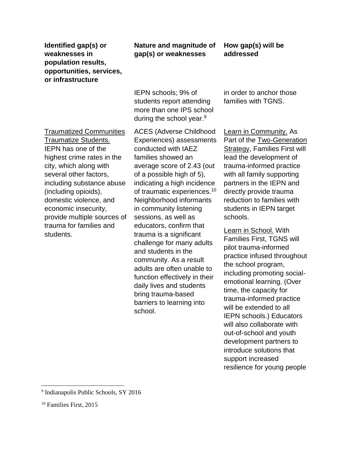# **Nature and magnitude of gap(s) or weaknesses**

# **How gap(s) will be addressed**

Traumatized Communities Traumatize Students. IEPN has one of the highest crime rates in the city, which along with several other factors, including substance abuse (including opioids), domestic violence, and economic insecurity, provide multiple sources of trauma for families and students.

IEPN schools; 9% of students report attending more than one IPS school during the school year.<sup>9</sup>

ACES (Adverse Childhood Experiences) assessments conducted with IAEZ families showed an average score of 2.43 (out of a possible high of 5), indicating a high incidence of traumatic experiences.<sup>10</sup> Neighborhood informants in community listening sessions, as well as educators, confirm that trauma is a significant challenge for many adults and students in the community. As a result adults are often unable to function effectively in their daily lives and students bring trauma-based barriers to learning into school.

in order to anchor those families with TGNS.

Learn in Community. As Part of the Two-Generation Strategy, Families First will lead the development of trauma-informed practice with all family supporting partners in the IEPN and directly provide trauma reduction to families with students in IEPN target schools.

Learn in School. With Families First, TGNS will pilot trauma-informed practice infused throughout the school program, including promoting socialemotional learning. (Over time, the capacity for trauma-informed practice will be extended to all IEPN schools.) Educators will also collaborate with out-of-school and youth development partners to introduce solutions that support increased resilience for young people

 $\overline{a}$ 

<sup>9</sup> Indianapolis Public Schools, SY 2016

<sup>10</sup> Families First, 2015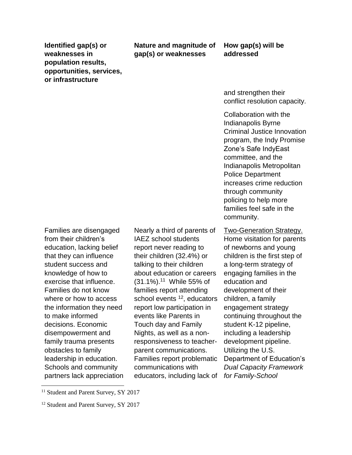**Nature and magnitude of gap(s) or weaknesses**

#### **How gap(s) will be addressed**

and strengthen their conflict resolution capacity.

Collaboration with the Indianapolis Byrne Criminal Justice Innovation program, the Indy Promise Zone's Safe IndyEast committee, and the Indianapolis Metropolitan Police Department increases crime reduction through community policing to help more families feel safe in the community.

Families are disengaged from their children's education, lacking belief that they can influence student success and knowledge of how to exercise that influence. Families do not know where or how to access the information they need to make informed decisions. Economic disempowerment and family trauma presents obstacles to family leadership in education. Schools and community partners lack appreciation

Nearly a third of parents of IAEZ school students report never reading to their children (32.4%) or talking to their children about education or careers (31.1%).<sup>11</sup> While 55% of families report attending school events <sup>12</sup>, educators report low participation in events like Parents in Touch day and Family Nights, as well as a nonresponsiveness to teacherparent communications. Families report problematic communications with educators, including lack of *for Family-School* 

Two-Generation Strategy. Home visitation for parents of newborns and young children is the first step of a long-term strategy of engaging families in the education and development of their children, a family engagement strategy continuing throughout the student K-12 pipeline, including a leadership development pipeline. Utilizing the U.S. Department of Education's *Dual Capacity Framework* 

 $\overline{a}$ 

<sup>&</sup>lt;sup>11</sup> Student and Parent Survey, SY 2017

<sup>&</sup>lt;sup>12</sup> Student and Parent Survey, SY 2017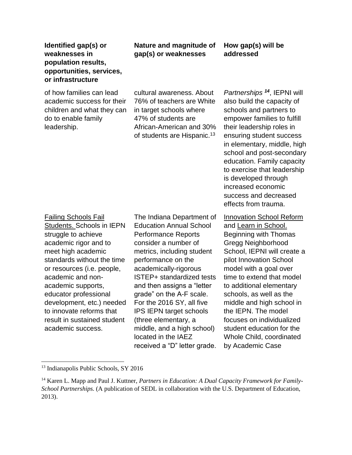# **Nature and magnitude of gap(s) or weaknesses**

# **How gap(s) will be addressed**

of how families can lead academic success for their children and what they can do to enable family leadership.

cultural awareness. About 76% of teachers are White in target schools where 47% of students are African-American and 30% of students are Hispanic.<sup>13</sup>

*Partnerships <sup>14</sup>* , IEPNI will also build the capacity of schools and partners to empower families to fulfill their leadership roles in ensuring student success in elementary, middle, high school and post-secondary education. Family capacity to exercise that leadership is developed through increased economic success and decreased effects from trauma.

Failing Schools Fail Students. Schools in IEPN struggle to achieve academic rigor and to meet high academic standards without the time or resources (i.e. people, academic and nonacademic supports, educator professional development, etc.) needed to innovate reforms that result in sustained student academic success.

The Indiana Department of Education Annual School Performance Reports consider a number of metrics, including student performance on the academically-rigorous ISTEP+ standardized tests and then assigns a "letter grade" on the A-F scale. For the 2016 SY, all five IPS IEPN target schools (three elementary, a middle, and a high school) located in the IAEZ received a "D" letter grade.

**Innovation School Reform** and Learn in School. Beginning with Thomas Gregg Neighborhood School, IEPNI will create a pilot Innovation School model with a goal over time to extend that model to additional elementary schools, as well as the middle and high school in the IEPN. The model focuses on individualized student education for the Whole Child, coordinated by Academic Case

l <sup>13</sup> Indianapolis Public Schools, SY 2016

<sup>&</sup>lt;sup>14</sup> Karen L. Mapp and Paul J. Kuttner, *Partners in Education: A Dual Capacity Framework for Family-School Partnerships.* (A publication of SEDL in collaboration with the U.S. Department of Education, 2013).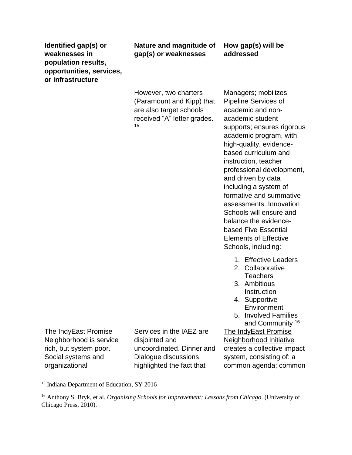# **Nature and magnitude of gap(s) or weaknesses**

**How gap(s) will be addressed**

However, two charters (Paramount and Kipp) that are also target schools received "A" letter grades. 15

Managers; mobilizes Pipeline Services of academic and nonacademic student supports; ensures rigorous academic program, with high-quality, evidencebased curriculum and instruction, teacher professional development, and driven by data including a system of formative and summative assessments. Innovation Schools will ensure and balance the evidencebased Five Essential Elements of Effective Schools, including:

- 1. Effective Leaders
- 2. Collaborative **Teachers**
- 3. Ambitious **Instruction**
- 4. Supportive **Environment**
- 5. Involved Families and Community <sup>16</sup>

The IndyEast Promise Neighborhood Initiative creates a collective impact system, consisting of: a common agenda; common

The IndyEast Promise Neighborhood is service rich, but system poor. Social systems and organizational

 $\overline{\phantom{a}}$ 

Services in the IAEZ are disjointed and uncoordinated. Dinner and Dialogue discussions highlighted the fact that

<sup>&</sup>lt;sup>15</sup> Indiana Department of Education, SY 2016

<sup>16</sup> Anthony S. Bryk, et al. *Organizing Schools for Improvement: Lessons from Chicago*. (University of Chicago Press, 2010).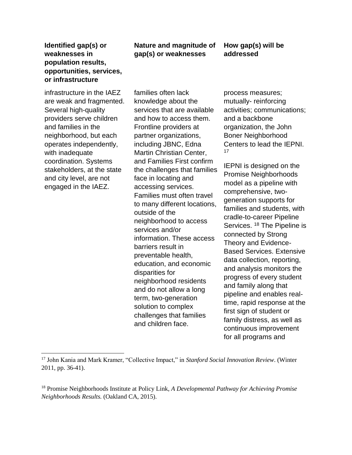infrastructure in the IAEZ are weak and fragmented. Several high-quality providers serve children and families in the neighborhood, but each operates independently, with inadequate coordination. Systems stakeholders, at the state and city level, are not engaged in the IAEZ.

# **Nature and magnitude of gap(s) or weaknesses**

# **How gap(s) will be addressed**

families often lack knowledge about the services that are available and how to access them. Frontline providers at partner organizations, including JBNC, Edna Martin Christian Center, and Families First confirm the challenges that families face in locating and accessing services. Families must often travel to many different locations, outside of the neighborhood to access services and/or information. These access barriers result in preventable health, education, and economic disparities for neighborhood residents and do not allow a long term, two-generation solution to complex challenges that families and children face.

process measures; mutually- reinforcing activities; communications; and a backbone organization, the John Boner Neighborhood Centers to lead the IEPNI. 17

IEPNI is designed on the Promise Neighborhoods model as a pipeline with comprehensive, twogeneration supports for families and students, with cradle-to-career Pipeline Services. <sup>18</sup> The Pipeline is connected by Strong Theory and Evidence-Based Services. Extensive data collection, reporting, and analysis monitors the progress of every student and family along that pipeline and enables realtime, rapid response at the first sign of student or family distress, as well as continuous improvement for all programs and

l <sup>17</sup> John Kania and Mark Kramer, "Collective Impact," in *Stanford Social Innovation Review*. (Winter 2011, pp. 36-41).

<sup>18</sup> Promise Neighborhoods Institute at Policy Link, *A Developmental Pathway for Achieving Promise Neighborhoods Results.* (Oakland CA, 2015).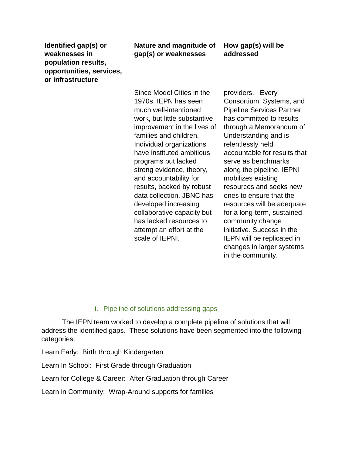# **Nature and magnitude of gap(s) or weaknesses**

**How gap(s) will be addressed**

Since Model Cities in the 1970s, IEPN has seen much well-intentioned work, but little substantive improvement in the lives of families and children. Individual organizations have instituted ambitious programs but lacked strong evidence, theory, and accountability for results, backed by robust data collection. JBNC has developed increasing collaborative capacity but has lacked resources to attempt an effort at the scale of IEPNI.

providers. Every Consortium, Systems, and Pipeline Services Partner has committed to results through a Memorandum of Understanding and is relentlessly held accountable for results that serve as benchmarks along the pipeline. IEPNI mobilizes existing resources and seeks new ones to ensure that the resources will be adequate for a long-term, sustained community change initiative. Success in the IEPN will be replicated in changes in larger systems in the community.

### ii. Pipeline of solutions addressing gaps

The IEPN team worked to develop a complete pipeline of solutions that will address the identified gaps. These solutions have been segmented into the following categories:

Learn Early: Birth through Kindergarten

Learn In School: First Grade through Graduation

Learn for College & Career: After Graduation through Career

Learn in Community: Wrap-Around supports for families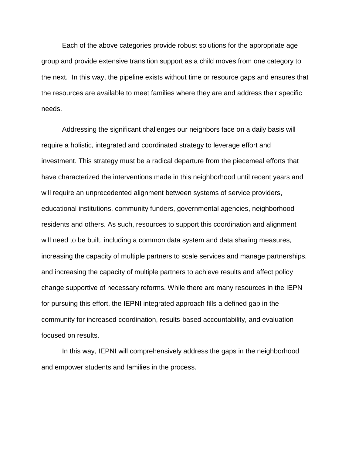Each of the above categories provide robust solutions for the appropriate age group and provide extensive transition support as a child moves from one category to the next. In this way, the pipeline exists without time or resource gaps and ensures that the resources are available to meet families where they are and address their specific needs.

Addressing the significant challenges our neighbors face on a daily basis will require a holistic, integrated and coordinated strategy to leverage effort and investment. This strategy must be a radical departure from the piecemeal efforts that have characterized the interventions made in this neighborhood until recent years and will require an unprecedented alignment between systems of service providers, educational institutions, community funders, governmental agencies, neighborhood residents and others. As such, resources to support this coordination and alignment will need to be built, including a common data system and data sharing measures, increasing the capacity of multiple partners to scale services and manage partnerships, and increasing the capacity of multiple partners to achieve results and affect policy change supportive of necessary reforms. While there are many resources in the IEPN for pursuing this effort, the IEPNI integrated approach fills a defined gap in the community for increased coordination, results-based accountability, and evaluation focused on results.

In this way, IEPNI will comprehensively address the gaps in the neighborhood and empower students and families in the process.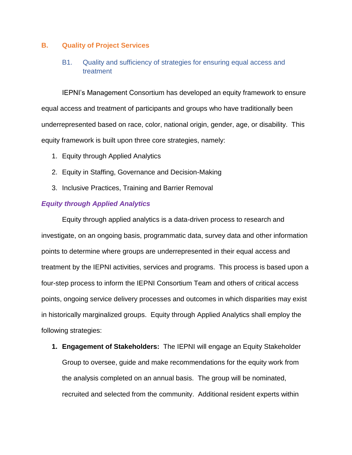#### **B. Quality of Project Services**

# B1. Quality and sufficiency of strategies for ensuring equal access and treatment

IEPNI's Management Consortium has developed an equity framework to ensure equal access and treatment of participants and groups who have traditionally been underrepresented based on race, color, national origin, gender, age, or disability. This equity framework is built upon three core strategies, namely:

- 1. Equity through Applied Analytics
- 2. Equity in Staffing, Governance and Decision-Making
- 3. Inclusive Practices, Training and Barrier Removal

#### *Equity through Applied Analytics*

Equity through applied analytics is a data-driven process to research and investigate, on an ongoing basis, programmatic data, survey data and other information points to determine where groups are underrepresented in their equal access and treatment by the IEPNI activities, services and programs. This process is based upon a four-step process to inform the IEPNI Consortium Team and others of critical access points, ongoing service delivery processes and outcomes in which disparities may exist in historically marginalized groups. Equity through Applied Analytics shall employ the following strategies:

**1. Engagement of Stakeholders:** The IEPNI will engage an Equity Stakeholder Group to oversee, guide and make recommendations for the equity work from the analysis completed on an annual basis. The group will be nominated, recruited and selected from the community. Additional resident experts within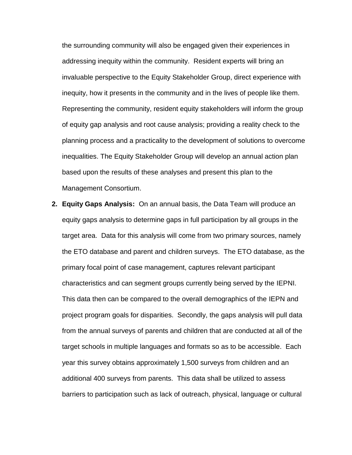the surrounding community will also be engaged given their experiences in addressing inequity within the community. Resident experts will bring an invaluable perspective to the Equity Stakeholder Group, direct experience with inequity, how it presents in the community and in the lives of people like them. Representing the community, resident equity stakeholders will inform the group of equity gap analysis and root cause analysis; providing a reality check to the planning process and a practicality to the development of solutions to overcome inequalities. The Equity Stakeholder Group will develop an annual action plan based upon the results of these analyses and present this plan to the Management Consortium.

**2. Equity Gaps Analysis:** On an annual basis, the Data Team will produce an equity gaps analysis to determine gaps in full participation by all groups in the target area. Data for this analysis will come from two primary sources, namely the ETO database and parent and children surveys. The ETO database, as the primary focal point of case management, captures relevant participant characteristics and can segment groups currently being served by the IEPNI. This data then can be compared to the overall demographics of the IEPN and project program goals for disparities. Secondly, the gaps analysis will pull data from the annual surveys of parents and children that are conducted at all of the target schools in multiple languages and formats so as to be accessible. Each year this survey obtains approximately 1,500 surveys from children and an additional 400 surveys from parents. This data shall be utilized to assess barriers to participation such as lack of outreach, physical, language or cultural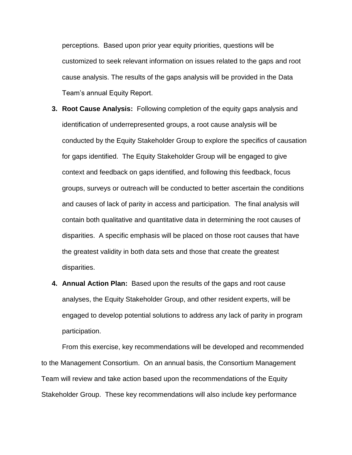perceptions. Based upon prior year equity priorities, questions will be customized to seek relevant information on issues related to the gaps and root cause analysis. The results of the gaps analysis will be provided in the Data Team's annual Equity Report.

- **3. Root Cause Analysis:** Following completion of the equity gaps analysis and identification of underrepresented groups, a root cause analysis will be conducted by the Equity Stakeholder Group to explore the specifics of causation for gaps identified. The Equity Stakeholder Group will be engaged to give context and feedback on gaps identified, and following this feedback, focus groups, surveys or outreach will be conducted to better ascertain the conditions and causes of lack of parity in access and participation. The final analysis will contain both qualitative and quantitative data in determining the root causes of disparities. A specific emphasis will be placed on those root causes that have the greatest validity in both data sets and those that create the greatest disparities.
- **4. Annual Action Plan:** Based upon the results of the gaps and root cause analyses, the Equity Stakeholder Group, and other resident experts, will be engaged to develop potential solutions to address any lack of parity in program participation.

From this exercise, key recommendations will be developed and recommended to the Management Consortium. On an annual basis, the Consortium Management Team will review and take action based upon the recommendations of the Equity Stakeholder Group. These key recommendations will also include key performance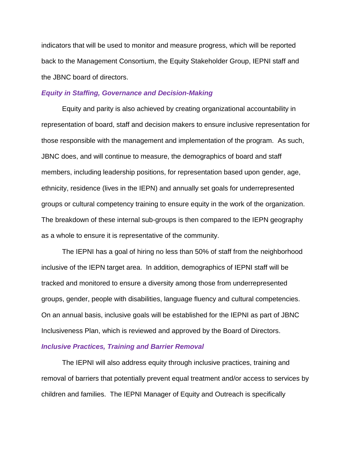indicators that will be used to monitor and measure progress, which will be reported back to the Management Consortium, the Equity Stakeholder Group, IEPNI staff and the JBNC board of directors.

#### *Equity in Staffing, Governance and Decision-Making*

Equity and parity is also achieved by creating organizational accountability in representation of board, staff and decision makers to ensure inclusive representation for those responsible with the management and implementation of the program. As such, JBNC does, and will continue to measure, the demographics of board and staff members, including leadership positions, for representation based upon gender, age, ethnicity, residence (lives in the IEPN) and annually set goals for underrepresented groups or cultural competency training to ensure equity in the work of the organization. The breakdown of these internal sub-groups is then compared to the IEPN geography as a whole to ensure it is representative of the community.

The IEPNI has a goal of hiring no less than 50% of staff from the neighborhood inclusive of the IEPN target area. In addition, demographics of IEPNI staff will be tracked and monitored to ensure a diversity among those from underrepresented groups, gender, people with disabilities, language fluency and cultural competencies. On an annual basis, inclusive goals will be established for the IEPNI as part of JBNC Inclusiveness Plan, which is reviewed and approved by the Board of Directors.

#### *Inclusive Practices, Training and Barrier Removal*

The IEPNI will also address equity through inclusive practices, training and removal of barriers that potentially prevent equal treatment and/or access to services by children and families. The IEPNI Manager of Equity and Outreach is specifically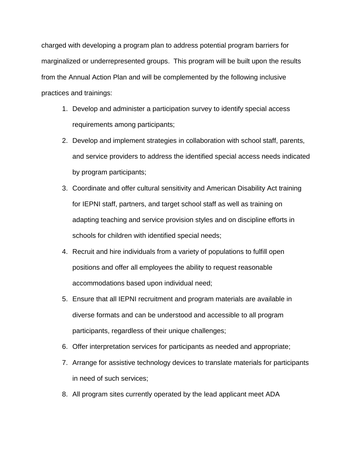charged with developing a program plan to address potential program barriers for marginalized or underrepresented groups. This program will be built upon the results from the Annual Action Plan and will be complemented by the following inclusive practices and trainings:

- 1. Develop and administer a participation survey to identify special access requirements among participants;
- 2. Develop and implement strategies in collaboration with school staff, parents, and service providers to address the identified special access needs indicated by program participants;
- 3. Coordinate and offer cultural sensitivity and American Disability Act training for IEPNI staff, partners, and target school staff as well as training on adapting teaching and service provision styles and on discipline efforts in schools for children with identified special needs;
- 4. Recruit and hire individuals from a variety of populations to fulfill open positions and offer all employees the ability to request reasonable accommodations based upon individual need;
- 5. Ensure that all IEPNI recruitment and program materials are available in diverse formats and can be understood and accessible to all program participants, regardless of their unique challenges;
- 6. Offer interpretation services for participants as needed and appropriate;
- 7. Arrange for assistive technology devices to translate materials for participants in need of such services;
- 8. All program sites currently operated by the lead applicant meet ADA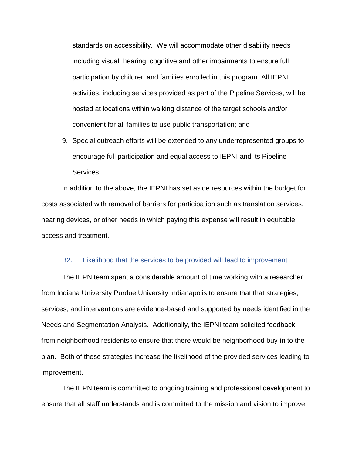standards on accessibility. We will accommodate other disability needs including visual, hearing, cognitive and other impairments to ensure full participation by children and families enrolled in this program. All IEPNI activities, including services provided as part of the Pipeline Services, will be hosted at locations within walking distance of the target schools and/or convenient for all families to use public transportation; and

9. Special outreach efforts will be extended to any underrepresented groups to encourage full participation and equal access to IEPNI and its Pipeline Services.

In addition to the above, the IEPNI has set aside resources within the budget for costs associated with removal of barriers for participation such as translation services, hearing devices, or other needs in which paying this expense will result in equitable access and treatment.

#### B2. Likelihood that the services to be provided will lead to improvement

The IEPN team spent a considerable amount of time working with a researcher from Indiana University Purdue University Indianapolis to ensure that that strategies, services, and interventions are evidence-based and supported by needs identified in the Needs and Segmentation Analysis. Additionally, the IEPNI team solicited feedback from neighborhood residents to ensure that there would be neighborhood buy-in to the plan. Both of these strategies increase the likelihood of the provided services leading to improvement.

The IEPN team is committed to ongoing training and professional development to ensure that all staff understands and is committed to the mission and vision to improve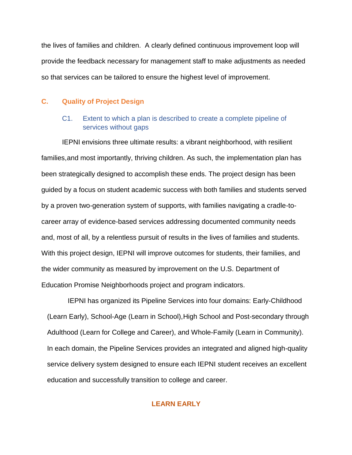the lives of families and children. A clearly defined continuous improvement loop will provide the feedback necessary for management staff to make adjustments as needed so that services can be tailored to ensure the highest level of improvement.

#### **C. Quality of Project Design**

### C1. Extent to which a plan is described to create a complete pipeline of services without gaps

IEPNI envisions three ultimate results: a vibrant neighborhood, with resilient families,and most importantly, thriving children. As such, the implementation plan has been strategically designed to accomplish these ends. The project design has been guided by a focus on student academic success with both families and students served by a proven two-generation system of supports, with families navigating a cradle-tocareer array of evidence-based services addressing documented community needs and, most of all, by a relentless pursuit of results in the lives of families and students. With this project design, IEPNI will improve outcomes for students, their families, and the wider community as measured by improvement on the U.S. Department of Education Promise Neighborhoods project and program indicators.

IEPNI has organized its Pipeline Services into four domains: Early-Childhood (Learn Early), School-Age (Learn in School),High School and Post-secondary through Adulthood (Learn for College and Career), and Whole-Family (Learn in Community). In each domain, the Pipeline Services provides an integrated and aligned high-quality service delivery system designed to ensure each IEPNI student receives an excellent education and successfully transition to college and career.

#### **LEARN EARLY**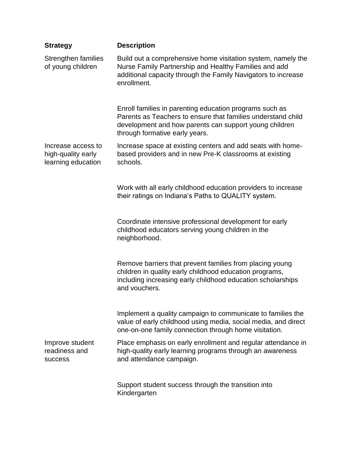| <b>Strategy</b>                                                | <b>Description</b>                                                                                                                                                                                                  |
|----------------------------------------------------------------|---------------------------------------------------------------------------------------------------------------------------------------------------------------------------------------------------------------------|
| Strengthen families<br>of young children                       | Build out a comprehensive home visitation system, namely the<br>Nurse Family Partnership and Healthy Families and add<br>additional capacity through the Family Navigators to increase<br>enrollment.               |
|                                                                | Enroll families in parenting education programs such as<br>Parents as Teachers to ensure that families understand child<br>development and how parents can support young children<br>through formative early years. |
| Increase access to<br>high-quality early<br>learning education | Increase space at existing centers and add seats with home-<br>based providers and in new Pre-K classrooms at existing<br>schools.                                                                                  |
|                                                                | Work with all early childhood education providers to increase<br>their ratings on Indiana's Paths to QUALITY system.                                                                                                |
|                                                                | Coordinate intensive professional development for early<br>childhood educators serving young children in the<br>neighborhood.                                                                                       |
|                                                                | Remove barriers that prevent families from placing young<br>children in quality early childhood education programs,<br>including increasing early childhood education scholarships<br>and vouchers.                 |
|                                                                | Implement a quality campaign to communicate to families the<br>value of early childhood using media, social media, and direct<br>one-on-one family connection through home visitation.                              |
| Improve student<br>readiness and<br><b>SUCCESS</b>             | Place emphasis on early enrollment and regular attendance in<br>high-quality early learning programs through an awareness<br>and attendance campaign.                                                               |
|                                                                | Support student success through the transition into<br>Kindergarten                                                                                                                                                 |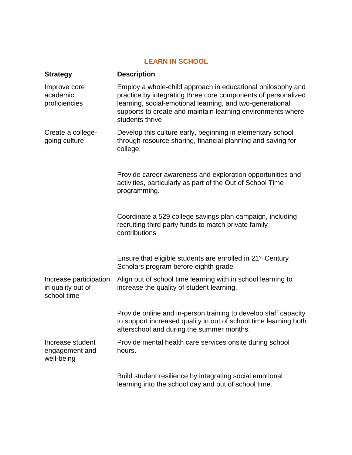# **LEARN IN SCHOOL**

| <b>Strategy</b>                                            | <b>Description</b>                                                                                                                                                                                                                                                          |
|------------------------------------------------------------|-----------------------------------------------------------------------------------------------------------------------------------------------------------------------------------------------------------------------------------------------------------------------------|
| Improve core<br>academic<br>proficiencies                  | Employ a whole-child approach in educational philosophy and<br>practice by integrating three core components of personalized<br>learning, social-emotional learning, and two-generational<br>supports to create and maintain learning environments where<br>students thrive |
| Create a college-<br>going culture                         | Develop this culture early, beginning in elementary school<br>through resource sharing, financial planning and saving for<br>college.                                                                                                                                       |
|                                                            | Provide career awareness and exploration opportunities and<br>activities, particularly as part of the Out of School Time<br>programming.                                                                                                                                    |
|                                                            | Coordinate a 529 college savings plan campaign, including<br>recruiting third party funds to match private family<br>contributions                                                                                                                                          |
|                                                            | Ensure that eligible students are enrolled in 21 <sup>st</sup> Century<br>Scholars program before eighth grade                                                                                                                                                              |
| Increase participation<br>in quality out of<br>school time | Align out of school time learning with in school learning to<br>increase the quality of student learning.                                                                                                                                                                   |
|                                                            | Provide online and in-person training to develop staff capacity<br>to support increased quality in out of school time learning both<br>afterschool and during the summer months.                                                                                            |
| Increase student<br>engagement and<br>well-being           | Provide mental health care services onsite during school<br>hours.                                                                                                                                                                                                          |
|                                                            | Build student resilience by integrating social emotional<br>learning into the school day and out of school time.                                                                                                                                                            |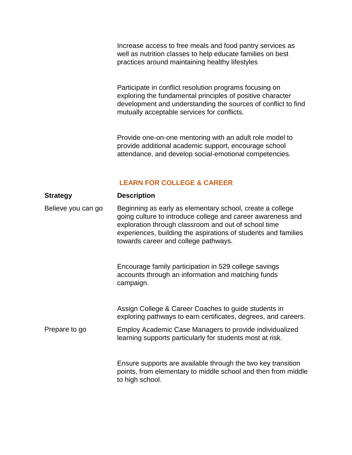Increase access to free meals and food pantry services as well as nutrition classes to help educate families on best practices around maintaining healthy lifestyles

Participate in conflict resolution programs focusing on exploring the fundamental principles of positive character development and understanding the sources of conflict to find mutually acceptable services for conflicts.

Provide one-on-one mentoring with an adult role model to provide additional academic support, encourage school attendance, and develop social-emotional competencies.

### **LEARN FOR COLLEGE & CAREER**

#### **Strategy Description**

Believe you can go Beginning as early as elementary school, create a college going culture to introduce college and career awareness and exploration through classroom and out of school time experiences, building the aspirations of students and families towards career and college pathways.

> Encourage family participation in 529 college savings accounts through an information and matching funds campaign.

Assign College & Career Coaches to guide students in exploring pathways to earn certificates, degrees, and careers.

Prepare to go Employ Academic Case Managers to provide individualized learning supports particularly for students most at risk.

> Ensure supports are available through the two key transition points, from elementary to middle school and then from middle to high school.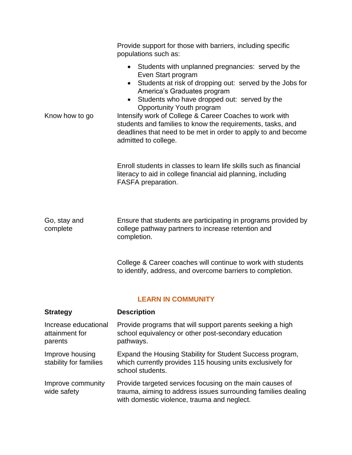|                                                   | Provide support for those with barriers, including specific<br>populations such as:<br>• Students with unplanned pregnancies: served by the                                                                                                                                                                                                                                                                               |  |
|---------------------------------------------------|---------------------------------------------------------------------------------------------------------------------------------------------------------------------------------------------------------------------------------------------------------------------------------------------------------------------------------------------------------------------------------------------------------------------------|--|
| Know how to go                                    | Even Start program<br>Students at risk of dropping out: served by the Jobs for<br>$\bullet$<br>America's Graduates program<br>Students who have dropped out: served by the<br>Opportunity Youth program<br>Intensify work of College & Career Coaches to work with<br>students and families to know the requirements, tasks, and<br>deadlines that need to be met in order to apply to and become<br>admitted to college. |  |
|                                                   | Enroll students in classes to learn life skills such as financial<br>literacy to aid in college financial aid planning, including<br>FASFA preparation.                                                                                                                                                                                                                                                                   |  |
| Go, stay and<br>complete                          | Ensure that students are participating in programs provided by<br>college pathway partners to increase retention and<br>completion.                                                                                                                                                                                                                                                                                       |  |
|                                                   | College & Career coaches will continue to work with students<br>to identify, address, and overcome barriers to completion.                                                                                                                                                                                                                                                                                                |  |
| <b>LEARN IN COMMUNITY</b>                         |                                                                                                                                                                                                                                                                                                                                                                                                                           |  |
| <b>Strategy</b>                                   | <b>Description</b>                                                                                                                                                                                                                                                                                                                                                                                                        |  |
| Increase educational<br>attainment for<br>parents | Provide programs that will support parents seeking a high<br>school equivalency or other post-secondary education<br>pathways.                                                                                                                                                                                                                                                                                            |  |

Improve housing stability for families Expand the Housing Stability for Student Success program, which currently provides 115 housing units exclusively for school students.

Improve community wide safety Provide targeted services focusing on the main causes of trauma, aiming to address issues surrounding families dealing with domestic violence, trauma and neglect.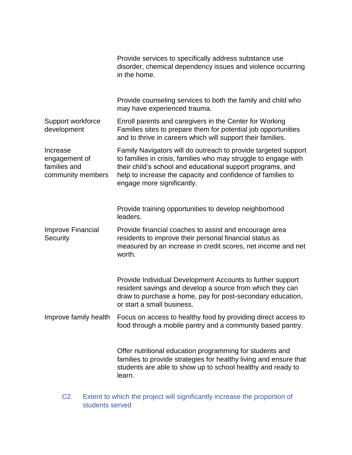|                                                                | Provide services to specifically address substance use<br>disorder, chemical dependency issues and violence occurring<br>in the home.                                                                                                                                                        |
|----------------------------------------------------------------|----------------------------------------------------------------------------------------------------------------------------------------------------------------------------------------------------------------------------------------------------------------------------------------------|
|                                                                | Provide counseling services to both the family and child who<br>may have experienced trauma.                                                                                                                                                                                                 |
| Support workforce<br>development                               | Enroll parents and caregivers in the Center for Working<br>Families sites to prepare them for potential job opportunities<br>and to thrive in careers which will support their families.                                                                                                     |
| Increase<br>engagement of<br>families and<br>community members | Family Navigators will do outreach to provide targeted support<br>to families in crisis, families who may struggle to engage with<br>their child's school and educational support programs, and<br>help to increase the capacity and confidence of families to<br>engage more significantly. |
|                                                                | Provide training opportunities to develop neighborhood<br>leaders.                                                                                                                                                                                                                           |
| Improve Financial<br>Security                                  | Provide financial coaches to assist and encourage area<br>residents to improve their personal financial status as<br>measured by an increase in credit scores, net income and net<br>worth.                                                                                                  |
|                                                                | Provide Individual Development Accounts to further support<br>resident savings and develop a source from which they can<br>draw to purchase a home, pay for post-secondary education,<br>or start a small business.                                                                          |
| Improve family health                                          | Focus on access to healthy food by providing direct access to<br>food through a mobile pantry and a community based pantry.                                                                                                                                                                  |
|                                                                | Offer nutritional education programming for students and<br>families to provide strategies for healthy living and ensure that<br>students are able to show up to school healthy and ready to<br>learn.                                                                                       |

C2. Extent to which the project will significantly increase the proportion of students served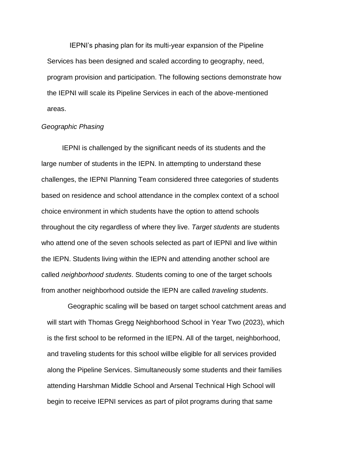IEPNI's phasing plan for its multi-year expansion of the Pipeline Services has been designed and scaled according to geography, need, program provision and participation. The following sections demonstrate how the IEPNI will scale its Pipeline Services in each of the above-mentioned areas.

#### *Geographic Phasing*

IEPNI is challenged by the significant needs of its students and the large number of students in the IEPN. In attempting to understand these challenges, the IEPNI Planning Team considered three categories of students based on residence and school attendance in the complex context of a school choice environment in which students have the option to attend schools throughout the city regardless of where they live. *Target students* are students who attend one of the seven schools selected as part of IEPNI and live within the IEPN. Students living within the IEPN and attending another school are called *neighborhood students*. Students coming to one of the target schools from another neighborhood outside the IEPN are called *traveling students*.

Geographic scaling will be based on target school catchment areas and will start with Thomas Gregg Neighborhood School in Year Two (2023), which is the first school to be reformed in the IEPN. All of the target, neighborhood, and traveling students for this school willbe eligible for all services provided along the Pipeline Services. Simultaneously some students and their families attending Harshman Middle School and Arsenal Technical High School will begin to receive IEPNI services as part of pilot programs during that same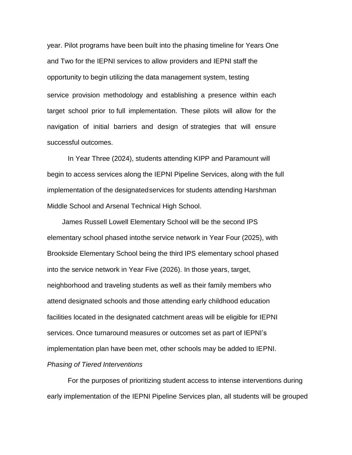year. Pilot programs have been built into the phasing timeline for Years One and Two for the IEPNI services to allow providers and IEPNI staff the opportunity to begin utilizing the data management system, testing service provision methodology and establishing a presence within each target school prior to full implementation. These pilots will allow for the navigation of initial barriers and design of strategies that will ensure successful outcomes.

In Year Three (2024), students attending KIPP and Paramount will begin to access services along the IEPNI Pipeline Services, along with the full implementation of the designatedservices for students attending Harshman Middle School and Arsenal Technical High School.

James Russell Lowell Elementary School will be the second IPS elementary school phased intothe service network in Year Four (2025), with Brookside Elementary School being the third IPS elementary school phased into the service network in Year Five (2026). In those years, target, neighborhood and traveling students as well as their family members who attend designated schools and those attending early childhood education facilities located in the designated catchment areas will be eligible for IEPNI services. Once turnaround measures or outcomes set as part of IEPNI's implementation plan have been met, other schools may be added to IEPNI. *Phasing of Tiered Interventions*

For the purposes of prioritizing student access to intense interventions during early implementation of the IEPNI Pipeline Services plan, all students will be grouped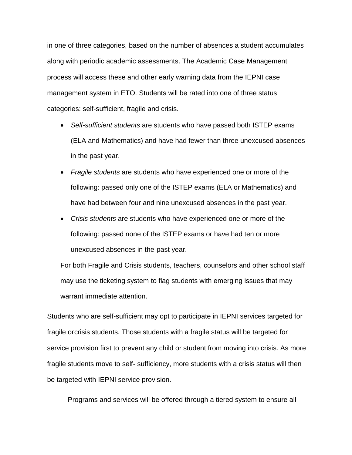in one of three categories, based on the number of absences a student accumulates along with periodic academic assessments. The Academic Case Management process will access these and other early warning data from the IEPNI case management system in ETO. Students will be rated into one of three status categories: self-sufficient, fragile and crisis.

- *Self-sufficient students* are students who have passed both ISTEP exams (ELA and Mathematics) and have had fewer than three unexcused absences in the past year.
- *Fragile students* are students who have experienced one or more of the following: passed only one of the ISTEP exams (ELA or Mathematics) and have had between four and nine unexcused absences in the past year.
- *Crisis students* are students who have experienced one or more of the following: passed none of the ISTEP exams or have had ten or more unexcused absences in the past year.

For both Fragile and Crisis students, teachers, counselors and other school staff may use the ticketing system to flag students with emerging issues that may warrant immediate attention.

Students who are self-sufficient may opt to participate in IEPNI services targeted for fragile orcrisis students. Those students with a fragile status will be targeted for service provision first to prevent any child or student from moving into crisis. As more fragile students move to self- sufficiency, more students with a crisis status will then be targeted with IEPNI service provision.

Programs and services will be offered through a tiered system to ensure all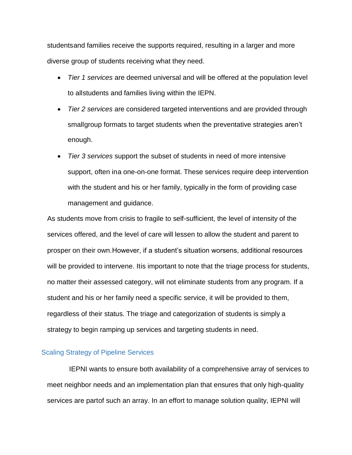studentsand families receive the supports required, resulting in a larger and more diverse group of students receiving what they need.

- *Tier 1 services* are deemed universal and will be offered at the population level to allstudents and families living within the IEPN.
- *Tier 2 services* are considered targeted interventions and are provided through smallgroup formats to target students when the preventative strategies aren't enough.
- *Tier 3 services* support the subset of students in need of more intensive support, often ina one-on-one format. These services require deep intervention with the student and his or her family, typically in the form of providing case management and guidance.

As students move from crisis to fragile to self-sufficient, the level of intensity of the services offered, and the level of care will lessen to allow the student and parent to prosper on their own.However, if a student's situation worsens, additional resources will be provided to intervene. Itis important to note that the triage process for students, no matter their assessed category, will not eliminate students from any program. If a student and his or her family need a specific service, it will be provided to them, regardless of their status. The triage and categorization of students is simply a strategy to begin ramping up services and targeting students in need.

#### Scaling Strategy of Pipeline Services

IEPNI wants to ensure both availability of a comprehensive array of services to meet neighbor needs and an implementation plan that ensures that only high-quality services are partof such an array. In an effort to manage solution quality, IEPNI will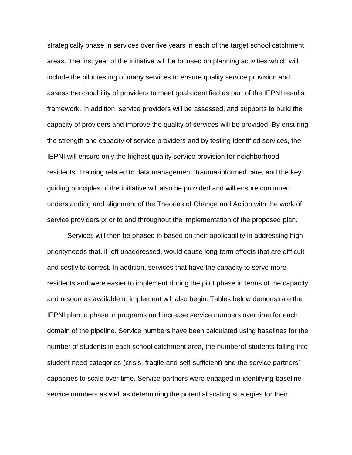strategically phase in services over five years in each of the target school catchment areas. The first year of the initiative will be focused on planning activities which will include the pilot testing of many services to ensure quality service provision and assess the capability of providers to meet goalsidentified as part of the IEPNI results framework. In addition, service providers will be assessed, and supports to build the capacity of providers and improve the quality of services will be provided. By ensuring the strength and capacity of service providers and by testing identified services, the IEPNI will ensure only the highest quality service provision for neighborhood residents. Training related to data management, trauma-informed care, and the key guiding principles of the initiative will also be provided and will ensure continued understanding and alignment of the Theories of Change and Action with the work of service providers prior to and throughout the implementation of the proposed plan.

Services will then be phased in based on their applicability in addressing high priorityneeds that, if left unaddressed, would cause long-term effects that are difficult and costly to correct. In addition, services that have the capacity to serve more residents and were easier to implement during the pilot phase in terms of the capacity and resources available to implement will also begin. Tables below demonstrate the IEPNI plan to phase in programs and increase service numbers over time for each domain of the pipeline. Service numbers have been calculated using baselines for the number of students in each school catchment area, the numberof students falling into student need categories (crisis, fragile and self-sufficient) and the service partners' capacities to scale over time. Service partners were engaged in identifying baseline service numbers as well as determining the potential scaling strategies for their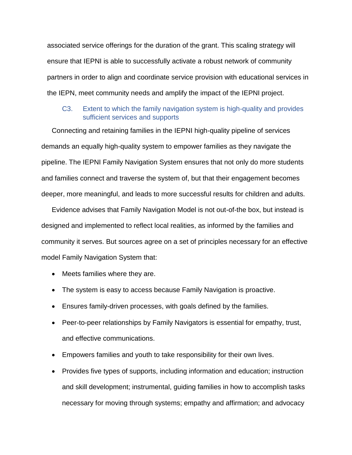associated service offerings for the duration of the grant. This scaling strategy will ensure that IEPNI is able to successfully activate a robust network of community partners in order to align and coordinate service provision with educational services in the IEPN, meet community needs and amplify the impact of the IEPNI project.

# C3. Extent to which the family navigation system is high-quality and provides sufficient services and supports

Connecting and retaining families in the IEPNI high-quality pipeline of services demands an equally high-quality system to empower families as they navigate the pipeline. The IEPNI Family Navigation System ensures that not only do more students and families connect and traverse the system of, but that their engagement becomes deeper, more meaningful, and leads to more successful results for children and adults.

Evidence advises that Family Navigation Model is not out-of-the box, but instead is designed and implemented to reflect local realities, as informed by the families and community it serves. But sources agree on a set of principles necessary for an effective model Family Navigation System that:

- Meets families where they are.
- The system is easy to access because Family Navigation is proactive.
- Ensures family-driven processes, with goals defined by the families.
- Peer-to-peer relationships by Family Navigators is essential for empathy, trust, and effective communications.
- Empowers families and youth to take responsibility for their own lives.
- Provides five types of supports, including information and education; instruction and skill development; instrumental, guiding families in how to accomplish tasks necessary for moving through systems; empathy and affirmation; and advocacy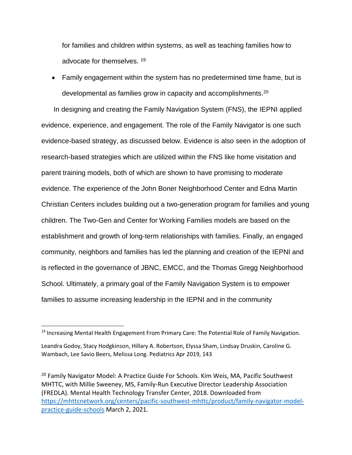for families and children within systems, as well as teaching families how to advocate for themselves. <sup>19</sup>

 Family engagement within the system has no predetermined time frame, but is developmental as families grow in capacity and accomplishments.<sup>20</sup>

In designing and creating the Family Navigation System (FNS), the IEPNI applied evidence, experience, and engagement. The role of the Family Navigator is one such evidence-based strategy, as discussed below. Evidence is also seen in the adoption of research-based strategies which are utilized within the FNS like home visitation and parent training models, both of which are shown to have promising to moderate evidence. The experience of the John Boner Neighborhood Center and Edna Martin Christian Centers includes building out a two-generation program for families and young children. The Two-Gen and Center for Working Families models are based on the establishment and growth of long-term relationships with families. Finally, an engaged community, neighbors and families has led the planning and creation of the IEPNI and is reflected in the governance of JBNC, EMCC, and the Thomas Gregg Neighborhood School. Ultimately, a primary goal of the Family Navigation System is to empower families to assume increasing leadership in the IEPNI and in the community

 $\overline{\phantom{a}}$ 

<sup>&</sup>lt;sup>19</sup> Increasing Mental Health Engagement From Primary Care: The Potential Role of Family Navigation.

Leandra Godoy, Stacy Hodgkinson, Hillary A. Robertson, Elyssa Sham, Lindsay Druskin, Caroline G. Wambach, Lee Savio Beers, Melissa Long. Pediatrics Apr 2019, 143

<sup>&</sup>lt;sup>20</sup> Family Navigator Model: A Practice Guide For Schools. Kim Weis, MA, Pacific Southwest MHTTC, with Millie Sweeney, MS, Family-Run Executive Director Leadership Association (FREDLA). Mental Health Technology Transfer Center, 2018. Downloaded from [https://mhttcnetwork.org/centers/pacific-southwest-mhttc/product/family-navigator-model](https://mhttcnetwork.org/centers/pacific-southwest-mhttc/product/family-navigator-model-practice-guide-schools)[practice-guide-schools](https://mhttcnetwork.org/centers/pacific-southwest-mhttc/product/family-navigator-model-practice-guide-schools) March 2, 2021.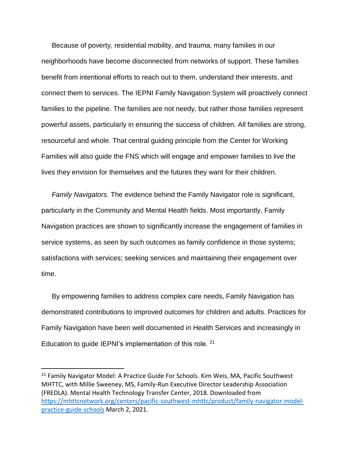Because of poverty, residential mobility, and trauma, many families in our neighborhoods have become disconnected from networks of support. These families benefit from intentional efforts to reach out to them, understand their interests, and connect them to services. The IEPNI Family Navigation System will proactively connect families to the pipeline. The families are not needy, but rather those families represent powerful assets, particularly in ensuring the success of children. All families are strong, resourceful and whole. That central guiding principle from the Center for Working Families will also guide the FNS which will engage and empower families to live the lives they envision for themselves and the futures they want for their children.

*Family Navigators.* The evidence behind the Family Navigator role is significant, particularly in the Community and Mental Health fields. Most importantly, Family Navigation practices are shown to significantly increase the engagement of families in service systems, as seen by such outcomes as family confidence in those systems; satisfactions with services; seeking services and maintaining their engagement over time.

By empowering families to address complex care needs, Family Navigation has demonstrated contributions to improved outcomes for children and adults. Practices for Family Navigation have been well documented in Health Services and increasingly in Education to guide IEPNI's implementation of this role. <sup>21</sup>

l

<sup>&</sup>lt;sup>21</sup> Family Navigator Model: A Practice Guide For Schools. Kim Weis, MA, Pacific Southwest MHTTC, with Millie Sweeney, MS, Family-Run Executive Director Leadership Association (FREDLA). Mental Health Technology Transfer Center, 2018. Downloaded from [https://mhttcnetwork.org/centers/pacific-southwest-mhttc/product/family-navigator-model](https://mhttcnetwork.org/centers/pacific-southwest-mhttc/product/family-navigator-model-practice-guide-schools)[practice-guide-schools](https://mhttcnetwork.org/centers/pacific-southwest-mhttc/product/family-navigator-model-practice-guide-schools) March 2, 2021.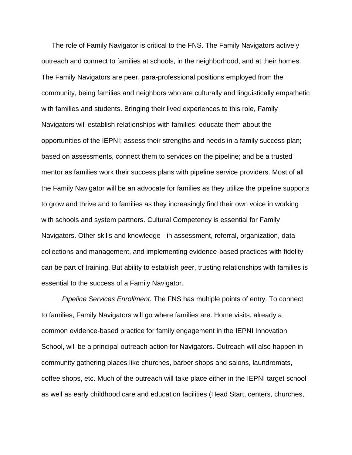The role of Family Navigator is critical to the FNS. The Family Navigators actively outreach and connect to families at schools, in the neighborhood, and at their homes. The Family Navigators are peer, para-professional positions employed from the community, being families and neighbors who are culturally and linguistically empathetic with families and students. Bringing their lived experiences to this role, Family Navigators will establish relationships with families; educate them about the opportunities of the IEPNI; assess their strengths and needs in a family success plan; based on assessments, connect them to services on the pipeline; and be a trusted mentor as families work their success plans with pipeline service providers. Most of all the Family Navigator will be an advocate for families as they utilize the pipeline supports to grow and thrive and to families as they increasingly find their own voice in working with schools and system partners. Cultural Competency is essential for Family Navigators. Other skills and knowledge - in assessment, referral, organization, data collections and management, and implementing evidence-based practices with fidelity can be part of training. But ability to establish peer, trusting relationships with families is essential to the success of a Family Navigator.

*Pipeline Services Enrollment.* The FNS has multiple points of entry. To connect to families, Family Navigators will go where families are. Home visits, already a common evidence-based practice for family engagement in the IEPNI Innovation School, will be a principal outreach action for Navigators. Outreach will also happen in community gathering places like churches, barber shops and salons, laundromats, coffee shops, etc. Much of the outreach will take place either in the IEPNI target school as well as early childhood care and education facilities (Head Start, centers, churches,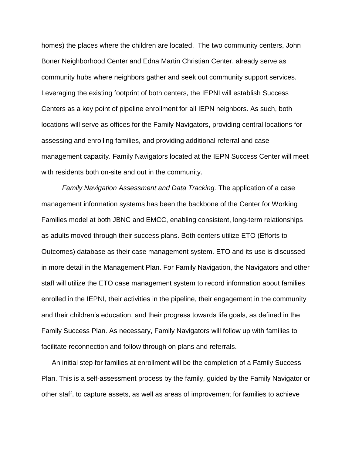homes) the places where the children are located. The two community centers, John Boner Neighborhood Center and Edna Martin Christian Center, already serve as community hubs where neighbors gather and seek out community support services. Leveraging the existing footprint of both centers, the IEPNI will establish Success Centers as a key point of pipeline enrollment for all IEPN neighbors. As such, both locations will serve as offices for the Family Navigators, providing central locations for assessing and enrolling families, and providing additional referral and case management capacity. Family Navigators located at the IEPN Success Center will meet with residents both on-site and out in the community.

*Family Navigation Assessment and Data Tracking.* The application of a case management information systems has been the backbone of the Center for Working Families model at both JBNC and EMCC, enabling consistent, long-term relationships as adults moved through their success plans. Both centers utilize ETO (Efforts to Outcomes) database as their case management system. ETO and its use is discussed in more detail in the Management Plan. For Family Navigation, the Navigators and other staff will utilize the ETO case management system to record information about families enrolled in the IEPNI, their activities in the pipeline, their engagement in the community and their children's education, and their progress towards life goals, as defined in the Family Success Plan. As necessary, Family Navigators will follow up with families to facilitate reconnection and follow through on plans and referrals.

An initial step for families at enrollment will be the completion of a Family Success Plan. This is a self-assessment process by the family, guided by the Family Navigator or other staff, to capture assets, as well as areas of improvement for families to achieve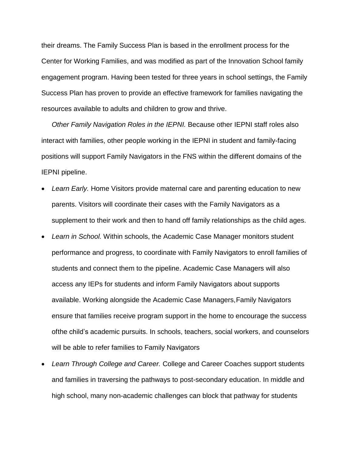their dreams. The Family Success Plan is based in the enrollment process for the Center for Working Families, and was modified as part of the Innovation School family engagement program. Having been tested for three years in school settings, the Family Success Plan has proven to provide an effective framework for families navigating the resources available to adults and children to grow and thrive.

*Other Family Navigation Roles in the IEPNI.* Because other IEPNI staff roles also interact with families, other people working in the IEPNI in student and family-facing positions will support Family Navigators in the FNS within the different domains of the IEPNI pipeline.

- *Learn Early.* Home Visitors provide maternal care and parenting education to new parents. Visitors will coordinate their cases with the Family Navigators as a supplement to their work and then to hand off family relationships as the child ages.
- *Learn in School.* Within schools, the Academic Case Manager monitors student performance and progress, to coordinate with Family Navigators to enroll families of students and connect them to the pipeline. Academic Case Managers will also access any IEPs for students and inform Family Navigators about supports available. Working alongside the Academic Case Managers,Family Navigators ensure that families receive program support in the home to encourage the success ofthe child's academic pursuits. In schools, teachers, social workers, and counselors will be able to refer families to Family Navigators
- *Learn Through College and Career.* College and Career Coaches support students and families in traversing the pathways to post-secondary education. In middle and high school, many non-academic challenges can block that pathway for students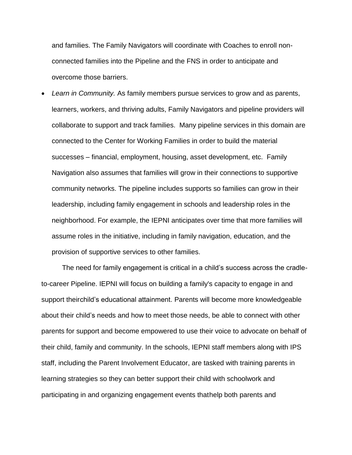and families. The Family Navigators will coordinate with Coaches to enroll nonconnected families into the Pipeline and the FNS in order to anticipate and overcome those barriers.

 *Learn in Community.* As family members pursue services to grow and as parents, learners, workers, and thriving adults, Family Navigators and pipeline providers will collaborate to support and track families. Many pipeline services in this domain are connected to the Center for Working Families in order to build the material successes – financial, employment, housing, asset development, etc. Family Navigation also assumes that families will grow in their connections to supportive community networks. The pipeline includes supports so families can grow in their leadership, including family engagement in schools and leadership roles in the neighborhood. For example, the IEPNI anticipates over time that more families will assume roles in the initiative, including in family navigation, education, and the provision of supportive services to other families.

The need for family engagement is critical in a child's success across the cradleto-career Pipeline. IEPNI will focus on building a family's capacity to engage in and support theirchild's educational attainment. Parents will become more knowledgeable about their child's needs and how to meet those needs, be able to connect with other parents for support and become empowered to use their voice to advocate on behalf of their child, family and community. In the schools, IEPNI staff members along with IPS staff, including the Parent Involvement Educator, are tasked with training parents in learning strategies so they can better support their child with schoolwork and participating in and organizing engagement events thathelp both parents and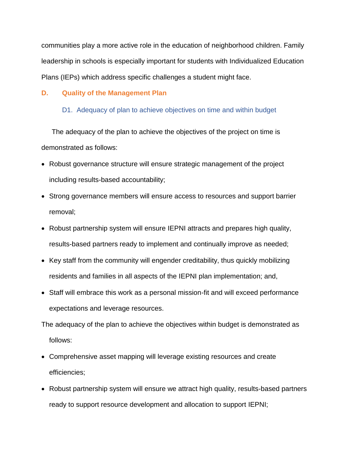communities play a more active role in the education of neighborhood children. Family leadership in schools is especially important for students with Individualized Education Plans (IEPs) which address specific challenges a student might face.

# **D. Quality of the Management Plan**

# D1. Adequacy of plan to achieve objectives on time and within budget

The adequacy of the plan to achieve the objectives of the project on time is demonstrated as follows:

- Robust governance structure will ensure strategic management of the project including results-based accountability;
- Strong governance members will ensure access to resources and support barrier removal;
- Robust partnership system will ensure IEPNI attracts and prepares high quality, results-based partners ready to implement and continually improve as needed;
- Key staff from the community will engender creditability, thus quickly mobilizing residents and families in all aspects of the IEPNI plan implementation; and,
- Staff will embrace this work as a personal mission-fit and will exceed performance expectations and leverage resources.

The adequacy of the plan to achieve the objectives within budget is demonstrated as follows:

- Comprehensive asset mapping will leverage existing resources and create efficiencies;
- Robust partnership system will ensure we attract high quality, results-based partners ready to support resource development and allocation to support IEPNI;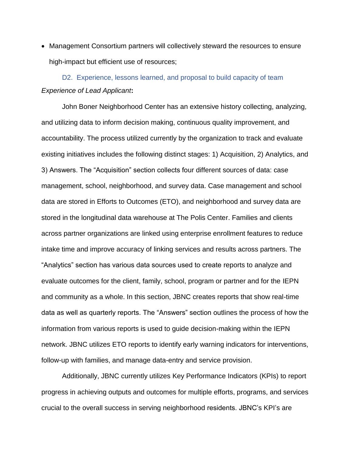Management Consortium partners will collectively steward the resources to ensure high-impact but efficient use of resources;

D2. Experience, lessons learned, and proposal to build capacity of team *Experience of Lead Applicant***:**

John Boner Neighborhood Center has an extensive history collecting, analyzing, and utilizing data to inform decision making, continuous quality improvement, and accountability. The process utilized currently by the organization to track and evaluate existing initiatives includes the following distinct stages: 1) Acquisition, 2) Analytics, and 3) Answers. The "Acquisition" section collects four different sources of data: case management, school, neighborhood, and survey data. Case management and school data are stored in Efforts to Outcomes (ETO), and neighborhood and survey data are stored in the longitudinal data warehouse at The Polis Center. Families and clients across partner organizations are linked using enterprise enrollment features to reduce intake time and improve accuracy of linking services and results across partners. The "Analytics" section has various data sources used to create reports to analyze and evaluate outcomes for the client, family, school, program or partner and for the IEPN and community as a whole. In this section, JBNC creates reports that show real-time data as well as quarterly reports. The "Answers" section outlines the process of how the information from various reports is used to guide decision-making within the IEPN network. JBNC utilizes ETO reports to identify early warning indicators for interventions, follow-up with families, and manage data-entry and service provision.

Additionally, JBNC currently utilizes Key Performance Indicators (KPIs) to report progress in achieving outputs and outcomes for multiple efforts, programs, and services crucial to the overall success in serving neighborhood residents. JBNC's KPI's are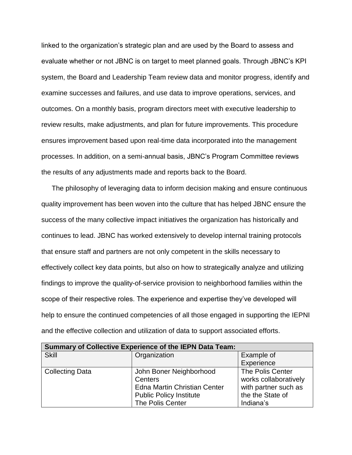linked to the organization's strategic plan and are used by the Board to assess and evaluate whether or not JBNC is on target to meet planned goals. Through JBNC's KPI system, the Board and Leadership Team review data and monitor progress, identify and examine successes and failures, and use data to improve operations, services, and outcomes. On a monthly basis, program directors meet with executive leadership to review results, make adjustments, and plan for future improvements. This procedure ensures improvement based upon real-time data incorporated into the management processes. In addition, on a semi-annual basis, JBNC's Program Committee reviews the results of any adjustments made and reports back to the Board.

The philosophy of leveraging data to inform decision making and ensure continuous quality improvement has been woven into the culture that has helped JBNC ensure the success of the many collective impact initiatives the organization has historically and continues to lead. JBNC has worked extensively to develop internal training protocols that ensure staff and partners are not only competent in the skills necessary to effectively collect key data points, but also on how to strategically analyze and utilizing findings to improve the quality-of-service provision to neighborhood families within the scope of their respective roles. The experience and expertise they've developed will help to ensure the continued competencies of all those engaged in supporting the IEPNI and the effective collection and utilization of data to support associated efforts.

| <b>Summary of Collective Experience of the IEPN Data Team:</b> |                                     |                       |
|----------------------------------------------------------------|-------------------------------------|-----------------------|
| <b>Skill</b>                                                   | Organization                        | Example of            |
|                                                                |                                     | Experience            |
| <b>Collecting Data</b>                                         | John Boner Neighborhood             | The Polis Center      |
|                                                                | Centers                             | works collaboratively |
|                                                                | <b>Edna Martin Christian Center</b> | with partner such as  |
|                                                                | <b>Public Policy Institute</b>      | the the State of      |
|                                                                | The Polis Center                    | Indiana's             |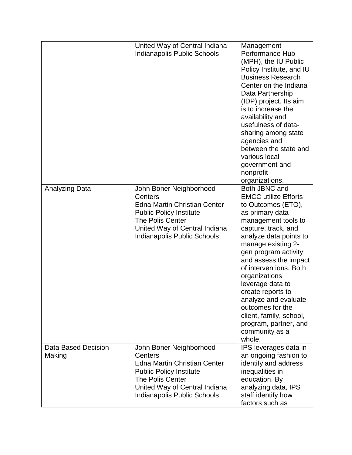|                               | United Way of Central Indiana<br>Indianapolis Public Schools                                                                                                                                           | Management<br>Performance Hub<br>(MPH), the IU Public<br>Policy Institute, and IU<br><b>Business Research</b><br>Center on the Indiana<br>Data Partnership<br>(IDP) project. Its aim<br>is to increase the<br>availability and<br>usefulness of data-<br>sharing among state<br>agencies and<br>between the state and<br>various local<br>government and<br>nonprofit<br>organizations.                                                              |
|-------------------------------|--------------------------------------------------------------------------------------------------------------------------------------------------------------------------------------------------------|------------------------------------------------------------------------------------------------------------------------------------------------------------------------------------------------------------------------------------------------------------------------------------------------------------------------------------------------------------------------------------------------------------------------------------------------------|
| <b>Analyzing Data</b>         | John Boner Neighborhood<br>Centers<br><b>Edna Martin Christian Center</b><br><b>Public Policy Institute</b><br><b>The Polis Center</b><br>United Way of Central Indiana<br>Indianapolis Public Schools | Both JBNC and<br><b>EMCC utilize Efforts</b><br>to Outcomes (ETO),<br>as primary data<br>management tools to<br>capture, track, and<br>analyze data points to<br>manage existing 2-<br>gen program activity<br>and assess the impact<br>of interventions. Both<br>organizations<br>leverage data to<br>create reports to<br>analyze and evaluate<br>outcomes for the<br>client, family, school,<br>program, partner, and<br>community as a<br>whole. |
| Data Based Decision<br>Making | John Boner Neighborhood<br>Centers<br><b>Edna Martin Christian Center</b><br><b>Public Policy Institute</b><br>The Polis Center<br>United Way of Central Indiana<br>Indianapolis Public Schools        | IPS leverages data in<br>an ongoing fashion to<br>identify and address<br>inequalities in<br>education. By<br>analyzing data, IPS<br>staff identify how<br>factors such as                                                                                                                                                                                                                                                                           |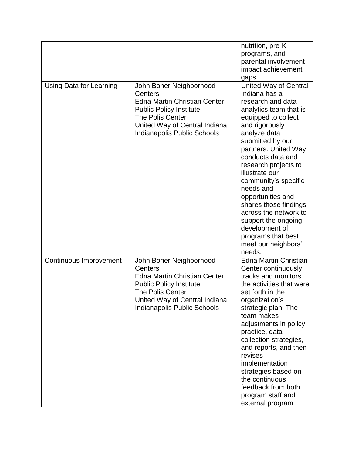|                         |                                                                                                                                                                                                        | nutrition, pre-K<br>programs, and<br>parental involvement<br>impact achievement<br>gaps.                                                                                                                                                                                                                                                                                                                                                                                     |
|-------------------------|--------------------------------------------------------------------------------------------------------------------------------------------------------------------------------------------------------|------------------------------------------------------------------------------------------------------------------------------------------------------------------------------------------------------------------------------------------------------------------------------------------------------------------------------------------------------------------------------------------------------------------------------------------------------------------------------|
| Using Data for Learning | John Boner Neighborhood<br>Centers<br><b>Edna Martin Christian Center</b><br><b>Public Policy Institute</b><br><b>The Polis Center</b><br>United Way of Central Indiana<br>Indianapolis Public Schools | <b>United Way of Central</b><br>Indiana has a<br>research and data<br>analytics team that is<br>equipped to collect<br>and rigorously<br>analyze data<br>submitted by our<br>partners. United Way<br>conducts data and<br>research projects to<br>illustrate our<br>community's specific<br>needs and<br>opportunities and<br>shares those findings<br>across the network to<br>support the ongoing<br>development of<br>programs that best<br>meet our neighbors'<br>needs. |
| Continuous Improvement  | John Boner Neighborhood<br>Centers<br><b>Edna Martin Christian Center</b><br><b>Public Policy Institute</b><br><b>The Polis Center</b><br>United Way of Central Indiana<br>Indianapolis Public Schools | <b>Edna Martin Christian</b><br>Center continuously<br>tracks and monitors<br>the activities that were<br>set forth in the<br>organization's<br>strategic plan. The<br>team makes<br>adjustments in policy,<br>practice, data<br>collection strategies,<br>and reports, and then<br>revises<br>implementation<br>strategies based on<br>the continuous<br>feedback from both<br>program staff and<br>external program                                                        |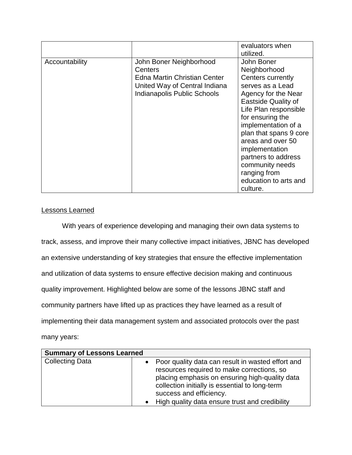|                |                                                                                                                                    | evaluators when<br>utilized.                                                                                                                                                                                                                                                                                                                                 |
|----------------|------------------------------------------------------------------------------------------------------------------------------------|--------------------------------------------------------------------------------------------------------------------------------------------------------------------------------------------------------------------------------------------------------------------------------------------------------------------------------------------------------------|
| Accountability | John Boner Neighborhood<br>Centers<br>Edna Martin Christian Center<br>United Way of Central Indiana<br>Indianapolis Public Schools | John Boner<br>Neighborhood<br>Centers currently<br>serves as a Lead<br>Agency for the Near<br><b>Eastside Quality of</b><br>Life Plan responsible<br>for ensuring the<br>implementation of a<br>plan that spans 9 core<br>areas and over 50<br>implementation<br>partners to address<br>community needs<br>ranging from<br>education to arts and<br>culture. |

# Lessons Learned

With years of experience developing and managing their own data systems to track, assess, and improve their many collective impact initiatives, JBNC has developed an extensive understanding of key strategies that ensure the effective implementation and utilization of data systems to ensure effective decision making and continuous quality improvement. Highlighted below are some of the lessons JBNC staff and community partners have lifted up as practices they have learned as a result of implementing their data management system and associated protocols over the past many years:

| <b>Summary of Lessons Learned</b> |                                                                                                                                                                                                                                                                                      |
|-----------------------------------|--------------------------------------------------------------------------------------------------------------------------------------------------------------------------------------------------------------------------------------------------------------------------------------|
| <b>Collecting Data</b>            | • Poor quality data can result in wasted effort and<br>resources required to make corrections, so<br>placing emphasis on ensuring high-quality data<br>collection initially is essential to long-term<br>success and efficiency.<br>• High quality data ensure trust and credibility |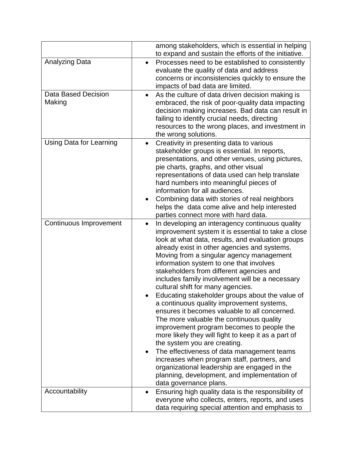|                                | among stakeholders, which is essential in helping<br>to expand and sustain the efforts of the initiative.                                                                                                                                                                                                                                                                                                                                                                                                                                                                                                                                                                                                                                                                                                                                                                                                                                                                                                  |
|--------------------------------|------------------------------------------------------------------------------------------------------------------------------------------------------------------------------------------------------------------------------------------------------------------------------------------------------------------------------------------------------------------------------------------------------------------------------------------------------------------------------------------------------------------------------------------------------------------------------------------------------------------------------------------------------------------------------------------------------------------------------------------------------------------------------------------------------------------------------------------------------------------------------------------------------------------------------------------------------------------------------------------------------------|
| <b>Analyzing Data</b>          | Processes need to be established to consistently<br>$\bullet$<br>evaluate the quality of data and address<br>concerns or inconsistencies quickly to ensure the<br>impacts of bad data are limited.                                                                                                                                                                                                                                                                                                                                                                                                                                                                                                                                                                                                                                                                                                                                                                                                         |
| Data Based Decision<br>Making  | As the culture of data driven decision making is<br>embraced, the risk of poor-quality data impacting<br>decision making increases. Bad data can result in<br>failing to identify crucial needs, directing<br>resources to the wrong places, and investment in<br>the wrong solutions.                                                                                                                                                                                                                                                                                                                                                                                                                                                                                                                                                                                                                                                                                                                     |
| <b>Using Data for Learning</b> | Creativity in presenting data to various<br>$\bullet$<br>stakeholder groups is essential. In reports,<br>presentations, and other venues, using pictures,<br>pie charts, graphs, and other visual<br>representations of data used can help translate<br>hard numbers into meaningful pieces of<br>information for all audiences.<br>Combining data with stories of real neighbors<br>helps the data come alive and help interested<br>parties connect more with hard data.                                                                                                                                                                                                                                                                                                                                                                                                                                                                                                                                 |
| Continuous Improvement         | In developing an interagency continuous quality<br>$\bullet$<br>improvement system it is essential to take a close<br>look at what data, results, and evaluation groups<br>already exist in other agencies and systems.<br>Moving from a singular agency management<br>information system to one that involves<br>stakeholders from different agencies and<br>includes family involvement will be a necessary<br>cultural shift for many agencies.<br>Educating stakeholder groups about the value of<br>a continuous quality improvement systems,<br>ensures it becomes valuable to all concerned.<br>The more valuable the continuous quality<br>improvement program becomes to people the<br>more likely they will fight to keep it as a part of<br>the system you are creating.<br>The effectiveness of data management teams<br>increases when program staff, partners, and<br>organizational leadership are engaged in the<br>planning, development, and implementation of<br>data governance plans. |
| Accountability                 | Ensuring high quality data is the responsibility of<br>$\bullet$<br>everyone who collects, enters, reports, and uses<br>data requiring special attention and emphasis to                                                                                                                                                                                                                                                                                                                                                                                                                                                                                                                                                                                                                                                                                                                                                                                                                                   |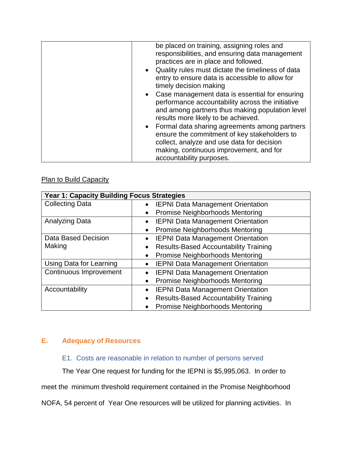| be placed on training, assigning roles and<br>responsibilities, and ensuring data management<br>practices are in place and followed.<br>• Quality rules must dictate the timeliness of data<br>entry to ensure data is accessible to allow for |
|------------------------------------------------------------------------------------------------------------------------------------------------------------------------------------------------------------------------------------------------|
| timely decision making                                                                                                                                                                                                                         |
| • Case management data is essential for ensuring<br>performance accountability across the initiative<br>and among partners thus making population level<br>results more likely to be achieved.                                                 |
| • Formal data sharing agreements among partners<br>ensure the commitment of key stakeholders to                                                                                                                                                |
| collect, analyze and use data for decision                                                                                                                                                                                                     |
| making, continuous improvement, and for                                                                                                                                                                                                        |
| accountability purposes.                                                                                                                                                                                                                       |

# **Plan to Build Capacity**

| Year 1: Capacity Building Focus Strategies |                                                           |
|--------------------------------------------|-----------------------------------------------------------|
| <b>Collecting Data</b>                     | • IEPNI Data Management Orientation                       |
|                                            | <b>Promise Neighborhoods Mentoring</b><br>$\bullet$       |
| Analyzing Data                             | <b>IEPNI Data Management Orientation</b><br>$\bullet$     |
|                                            | Promise Neighborhoods Mentoring<br>$\bullet$              |
| Data Based Decision                        | <b>IEPNI Data Management Orientation</b><br>$\bullet$     |
| Making                                     | <b>Results-Based Accountability Training</b><br>$\bullet$ |
|                                            | Promise Neighborhoods Mentoring<br>$\bullet$              |
| Using Data for Learning                    | <b>IEPNI Data Management Orientation</b><br>$\bullet$     |
| Continuous Improvement                     | <b>IEPNI Data Management Orientation</b><br>$\bullet$     |
|                                            | <b>Promise Neighborhoods Mentoring</b><br>$\bullet$       |
| Accountability                             | <b>IEPNI Data Management Orientation</b>                  |
|                                            | <b>Results-Based Accountability Training</b><br>$\bullet$ |
|                                            | Promise Neighborhoods Mentoring                           |

# **E. Adequacy of Resources**

# E1. Costs are reasonable in relation to number of persons served

The Year One request for funding for the IEPNI is \$5,995,063. In order to

meet the minimum threshold requirement contained in the Promise Neighborhood

NOFA, 54 percent of Year One resources will be utilized for planning activities. In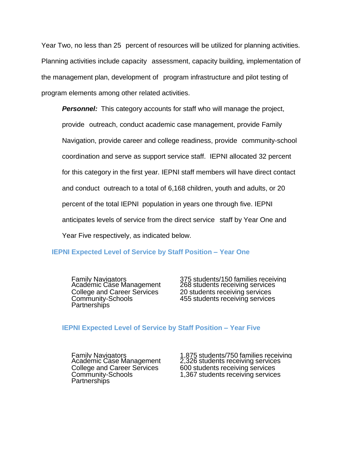Year Two, no less than 25 percent of resources will be utilized for planning activities. Planning activities include capacity assessment, capacity building, implementation of the management plan, development of program infrastructure and pilot testing of program elements among other related activities.

**Personnel:** This category accounts for staff who will manage the project, provide outreach, conduct academic case management, provide Family Navigation, provide career and college readiness, provide community-school coordination and serve as support service staff. IEPNI allocated 32 percent for this category in the first year. IEPNI staff members will have direct contact and conduct outreach to a total of 6,168 children, youth and adults, or 20 percent of the total IEPNI population in years one through five. IEPNI anticipates levels of service from the direct service staff by Year One and Year Five respectively, as indicated below.

#### **IEPNI Expected Level of Service by Staff Position – Year One**

Community-Schools **Partnerships** 

Family Navigators 375 students/150 families receiving services Academic Case Management 268 students receiving services Family Navigators<br>
Academic Case Management 268 students receiving services<br>
College and Career Services 20 students receiving services 455 students receiving services

#### **IEPNI Expected Level of Service by Staff Position – Year Five**

Community-Schools **Partnerships** 

Family Navigators 1,875 students/750 families receiving Academic Case Management 2,326 students receiving services Family Navigators<br>
Academic Case Management 2,326 students receiving service<br>
College and Career Services 600 students receiving services 1,367 students receiving services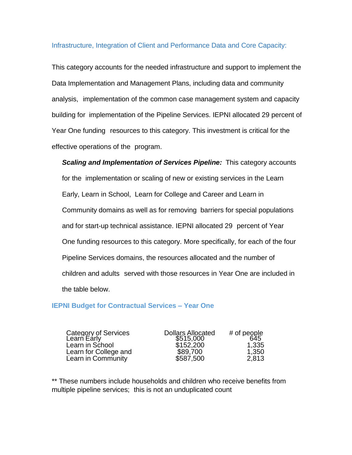#### Infrastructure, Integration of Client and Performance Data and Core Capacity:

This category accounts for the needed infrastructure and support to implement the Data Implementation and Management Plans, including data and community analysis, implementation of the common case management system and capacity building for implementation of the Pipeline Services. IEPNI allocated 29 percent of Year One funding resources to this category. This investment is critical for the effective operations of the program.

*Scaling and Implementation of Services Pipeline:* This category accounts for the implementation or scaling of new or existing services in the Learn Early, Learn in School, Learn for College and Career and Learn in Community domains as well as for removing barriers for special populations and for start-up technical assistance. IEPNI allocated 29 percent of Year One funding resources to this category. More specifically, for each of the four Pipeline Services domains, the resources allocated and the number of children and adults served with those resources in Year One are included in the table below.

#### **IEPNI Budget for Contractual Services – Year One**

Category of Services Learn Early <u>i</u>mpacted the team Early team Early team of the S515,000 645 Learn in School \$152,200 1,335<br>Learn for College and \$89,700 1.350 Learn for College and Career Learn in Community \$587,500 2,813

Dollars Allocated # of people \$89,700<br>\$587.500

\*\* These numbers include households and children who receive benefits from multiple pipeline services; this is not an unduplicated count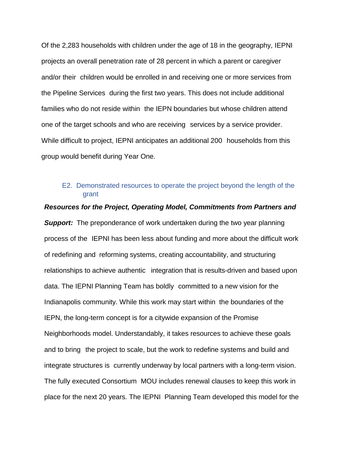Of the 2,283 households with children under the age of 18 in the geography, IEPNI projects an overall penetration rate of 28 percent in which a parent or caregiver and/or their children would be enrolled in and receiving one or more services from the Pipeline Services during the first two years. This does not include additional families who do not reside within the IEPN boundaries but whose children attend one of the target schools and who are receiving services by a service provider. While difficult to project, IEPNI anticipates an additional 200 households from this group would benefit during Year One.

### E2. Demonstrated resources to operate the project beyond the length of the grant

# *Support:* The preponderance of work undertaken during the two year planning process of the IEPNI has been less about funding and more about the difficult work of redefining and reforming systems, creating accountability, and structuring relationships to achieve authentic integration that is results-driven and based upon

*Resources for the Project, Operating Model, Commitments from Partners and*

data. The IEPNI Planning Team has boldly committed to a new vision for the Indianapolis community. While this work may start within the boundaries of the IEPN, the long-term concept is for a citywide expansion of the Promise Neighborhoods model. Understandably, it takes resources to achieve these goals and to bring the project to scale, but the work to redefine systems and build and integrate structures is currently underway by local partners with a long-term vision. The fully executed Consortium MOU includes renewal clauses to keep this work in place for the next 20 years. The IEPNI Planning Team developed this model for the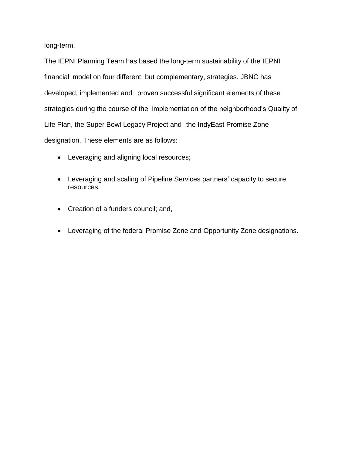long-term.

The IEPNI Planning Team has based the long-term sustainability of the IEPNI financial model on four different, but complementary, strategies. JBNC has developed, implemented and proven successful significant elements of these strategies during the course of the implementation of the neighborhood's Quality of Life Plan, the Super Bowl Legacy Project and the IndyEast Promise Zone designation. These elements are as follows:

- Leveraging and aligning local resources;
- Leveraging and scaling of Pipeline Services partners' capacity to secure resources;
- Creation of a funders council; and,
- Leveraging of the federal Promise Zone and Opportunity Zone designations.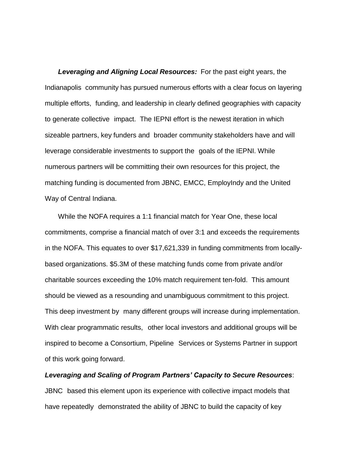*Leveraging and Aligning Local Resources:* For the past eight years, the Indianapolis community has pursued numerous efforts with a clear focus on layering multiple efforts, funding, and leadership in clearly defined geographies with capacity to generate collective impact. The IEPNI effort is the newest iteration in which sizeable partners, key funders and broader community stakeholders have and will leverage considerable investments to support the goals of the IEPNI. While numerous partners will be committing their own resources for this project, the matching funding is documented from JBNC, EMCC, EmployIndy and the United Way of Central Indiana.

While the NOFA requires a 1:1 financial match for Year One, these local commitments, comprise a financial match of over 3:1 and exceeds the requirements in the NOFA. This equates to over \$17,621,339 in funding commitments from locallybased organizations. \$5.3M of these matching funds come from private and/or charitable sources exceeding the 10% match requirement ten-fold. This amount should be viewed as a resounding and unambiguous commitment to this project. This deep investment by many different groups will increase during implementation. With clear programmatic results, other local investors and additional groups will be inspired to become a Consortium, Pipeline Services or Systems Partner in support of this work going forward.

*Leveraging and Scaling of Program Partners' Capacity to Secure Resources*: JBNC based this element upon its experience with collective impact models that have repeatedly demonstrated the ability of JBNC to build the capacity of key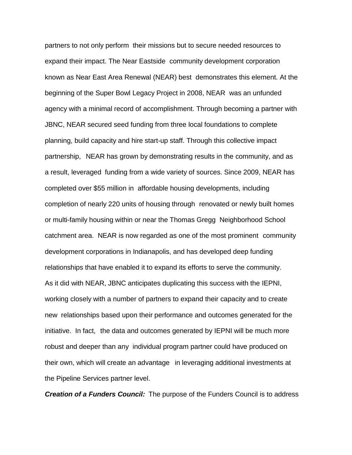partners to not only perform their missions but to secure needed resources to expand their impact. The Near Eastside community development corporation known as Near East Area Renewal (NEAR) best demonstrates this element. At the beginning of the Super Bowl Legacy Project in 2008, NEAR was an unfunded agency with a minimal record of accomplishment. Through becoming a partner with JBNC, NEAR secured seed funding from three local foundations to complete planning, build capacity and hire start-up staff. Through this collective impact partnership, NEAR has grown by demonstrating results in the community, and as a result, leveraged funding from a wide variety of sources. Since 2009, NEAR has completed over \$55 million in affordable housing developments, including completion of nearly 220 units of housing through renovated or newly built homes or multi-family housing within or near the Thomas Gregg Neighborhood School catchment area. NEAR is now regarded as one of the most prominent community development corporations in Indianapolis, and has developed deep funding relationships that have enabled it to expand its efforts to serve the community. As it did with NEAR, JBNC anticipates duplicating this success with the IEPNI, working closely with a number of partners to expand their capacity and to create new relationships based upon their performance and outcomes generated for the initiative. In fact, the data and outcomes generated by IEPNI will be much more robust and deeper than any individual program partner could have produced on their own, which will create an advantage in leveraging additional investments at the Pipeline Services partner level.

*Creation of a Funders Council:* The purpose of the Funders Council is to address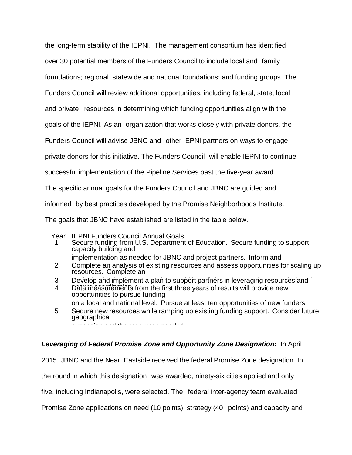the long-term stability of the IEPNI. The management consortium has identified

over 30 potential members of the Funders Council to include local and family

foundations; regional, statewide and national foundations; and funding groups. The

Funders Council will review additional opportunities, including federal, state, local

and private resources in determining which funding opportunities align with the

goals of the IEPNI. As an organization that works closely with private donors, the

Funders Council will advise JBNC and other IEPNI partners on ways to engage

private donors for this initiative. The Funders Council will enable IEPNI to continue

successful implementation of the Pipeline Services past the five-year award.

The specific annual goals for the Funders Council and JBNC are guided and

informed by best practices developed by the Promise Neighborhoods Institute.

The goals that JBNC have established are listed in the table below.

Year IEPNI Funders Council Annual Goals

1 Secure funding from U.S. Department of Education. Secure funding to support capacity building and

implementation as needed for JBNC and project partners. Inform and

- 2 Complete an analysis of existing resources and assess opportunities for scaling up resources. Complete an<br>Describe al limitation
- 3 Develop and implement a plan to support partners in leveraging resources and
- 4 Data measurements from the first three years of results will provide new opportunities to pursue funding
- on a local and national level. Pursue at least ten opportunities of new funders
- 5 Secure new resources while ramping up existing funding support. Consider future geographical expansion and the resources needed.

# *Leveraging of Federal Promise Zone and Opportunity Zone Designation:* In April

2015, JBNC and the Near Eastside received the federal Promise Zone designation. In

the round in which this designation was awarded, ninety-six cities applied and only

five, including Indianapolis, were selected. The federal inter-agency team evaluated

Promise Zone applications on need (10 points), strategy (40 points) and capacity and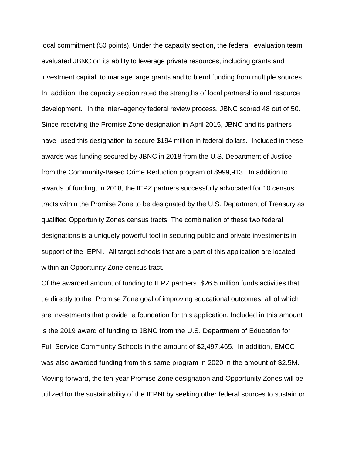local commitment (50 points). Under the capacity section, the federal evaluation team evaluated JBNC on its ability to leverage private resources, including grants and investment capital, to manage large grants and to blend funding from multiple sources. In addition, the capacity section rated the strengths of local partnership and resource development. In the inter–agency federal review process, JBNC scored 48 out of 50. Since receiving the Promise Zone designation in April 2015, JBNC and its partners have used this designation to secure \$194 million in federal dollars. Included in these awards was funding secured by JBNC in 2018 from the U.S. Department of Justice from the Community-Based Crime Reduction program of \$999,913. In addition to awards of funding, in 2018, the IEPZ partners successfully advocated for 10 census tracts within the Promise Zone to be designated by the U.S. Department of Treasury as qualified Opportunity Zones census tracts. The combination of these two federal designations is a uniquely powerful tool in securing public and private investments in support of the IEPNI. All target schools that are a part of this application are located within an Opportunity Zone census tract.

Of the awarded amount of funding to IEPZ partners, \$26.5 million funds activities that tie directly to the Promise Zone goal of improving educational outcomes, all of which are investments that provide a foundation for this application. Included in this amount is the 2019 award of funding to JBNC from the U.S. Department of Education for Full-Service Community Schools in the amount of \$2,497,465. In addition, EMCC was also awarded funding from this same program in 2020 in the amount of \$2.5M. Moving forward, the ten-year Promise Zone designation and Opportunity Zones will be utilized for the sustainability of the IEPNI by seeking other federal sources to sustain or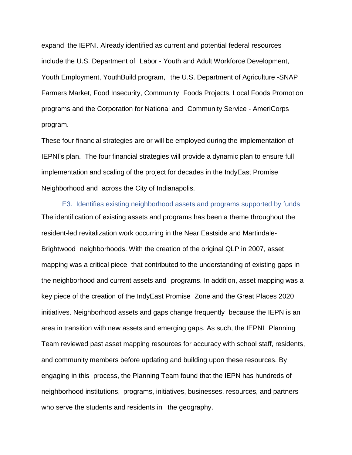expand the IEPNI. Already identified as current and potential federal resources include the U.S. Department of Labor - Youth and Adult Workforce Development, Youth Employment, YouthBuild program, the U.S. Department of Agriculture -SNAP Farmers Market, Food Insecurity, Community Foods Projects, Local Foods Promotion programs and the Corporation for National and Community Service - AmeriCorps program.

These four financial strategies are or will be employed during the implementation of IEPNI's plan. The four financial strategies will provide a dynamic plan to ensure full implementation and scaling of the project for decades in the IndyEast Promise Neighborhood and across the City of Indianapolis.

E3. Identifies existing neighborhood assets and programs supported by funds The identification of existing assets and programs has been a theme throughout the resident-led revitalization work occurring in the Near Eastside and Martindale-Brightwood neighborhoods. With the creation of the original QLP in 2007, asset mapping was a critical piece that contributed to the understanding of existing gaps in the neighborhood and current assets and programs. In addition, asset mapping was a key piece of the creation of the IndyEast Promise Zone and the Great Places 2020 initiatives. Neighborhood assets and gaps change frequently because the IEPN is an area in transition with new assets and emerging gaps. As such, the IEPNI Planning Team reviewed past asset mapping resources for accuracy with school staff, residents, and community members before updating and building upon these resources. By engaging in this process, the Planning Team found that the IEPN has hundreds of neighborhood institutions, programs, initiatives, businesses, resources, and partners who serve the students and residents in the geography.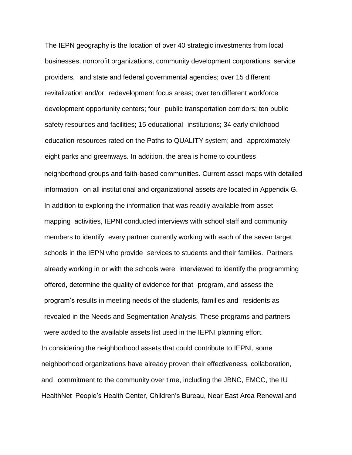The IEPN geography is the location of over 40 strategic investments from local businesses, nonprofit organizations, community development corporations, service providers, and state and federal governmental agencies; over 15 different revitalization and/or redevelopment focus areas; over ten different workforce development opportunity centers; four public transportation corridors; ten public safety resources and facilities; 15 educational institutions; 34 early childhood education resources rated on the Paths to QUALITY system; and approximately eight parks and greenways. In addition, the area is home to countless neighborhood groups and faith-based communities. Current asset maps with detailed information on all institutional and organizational assets are located in Appendix G. In addition to exploring the information that was readily available from asset mapping activities, IEPNI conducted interviews with school staff and community members to identify every partner currently working with each of the seven target schools in the IEPN who provide services to students and their families. Partners already working in or with the schools were interviewed to identify the programming offered, determine the quality of evidence for that program, and assess the program's results in meeting needs of the students, families and residents as revealed in the Needs and Segmentation Analysis. These programs and partners were added to the available assets list used in the IEPNI planning effort. In considering the neighborhood assets that could contribute to IEPNI, some neighborhood organizations have already proven their effectiveness, collaboration, and commitment to the community over time, including the JBNC, EMCC, the IU HealthNet People's Health Center, Children's Bureau, Near East Area Renewal and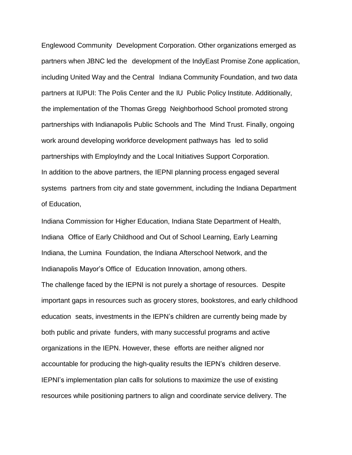Englewood Community Development Corporation. Other organizations emerged as partners when JBNC led the development of the IndyEast Promise Zone application, including United Way and the Central Indiana Community Foundation, and two data partners at IUPUI: The Polis Center and the IU Public Policy Institute. Additionally, the implementation of the Thomas Gregg Neighborhood School promoted strong partnerships with Indianapolis Public Schools and The Mind Trust. Finally, ongoing work around developing workforce development pathways has led to solid partnerships with EmployIndy and the Local Initiatives Support Corporation. In addition to the above partners, the IEPNI planning process engaged several systems partners from city and state government, including the Indiana Department of Education,

Indiana Commission for Higher Education, Indiana State Department of Health, Indiana Office of Early Childhood and Out of School Learning, Early Learning Indiana, the Lumina Foundation, the Indiana Afterschool Network, and the Indianapolis Mayor's Office of Education Innovation, among others. The challenge faced by the IEPNI is not purely a shortage of resources. Despite important gaps in resources such as grocery stores, bookstores, and early childhood education seats, investments in the IEPN's children are currently being made by both public and private funders, with many successful programs and active organizations in the IEPN. However, these efforts are neither aligned nor accountable for producing the high-quality results the IEPN's children deserve. IEPNI's implementation plan calls for solutions to maximize the use of existing resources while positioning partners to align and coordinate service delivery. The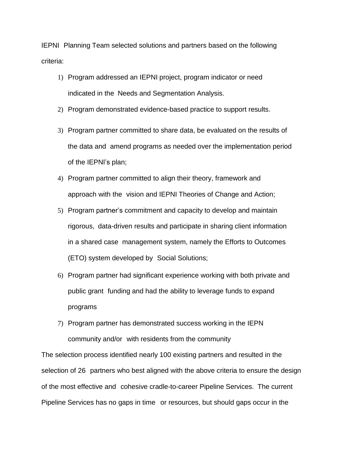IEPNI Planning Team selected solutions and partners based on the following criteria:

- 1) Program addressed an IEPNI project, program indicator or need indicated in the Needs and Segmentation Analysis.
- 2) Program demonstrated evidence-based practice to support results.
- 3) Program partner committed to share data, be evaluated on the results of the data and amend programs as needed over the implementation period of the IEPNI's plan;
- 4) Program partner committed to align their theory, framework and approach with the vision and IEPNI Theories of Change and Action;
- 5) Program partner's commitment and capacity to develop and maintain rigorous, data-driven results and participate in sharing client information in a shared case management system, namely the Efforts to Outcomes (ETO) system developed by Social Solutions;
- 6) Program partner had significant experience working with both private and public grant funding and had the ability to leverage funds to expand programs
- 7) Program partner has demonstrated success working in the IEPN community and/or with residents from the community

The selection process identified nearly 100 existing partners and resulted in the selection of 26 partners who best aligned with the above criteria to ensure the design of the most effective and cohesive cradle-to-career Pipeline Services. The current Pipeline Services has no gaps in time or resources, but should gaps occur in the